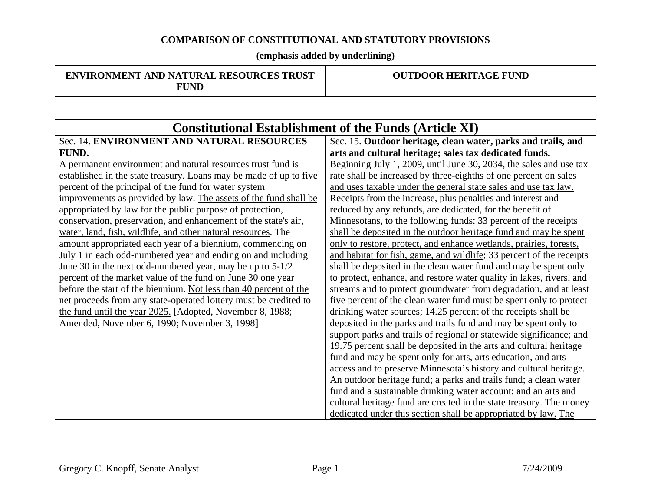**(emphasis added by underlining)** 

#### **ENVIRONMENT AND NATURAL RESOURCES TRUST FUND**

| <b>Constitutional Establishment of the Funds (Article XI)</b>      |                                                                      |
|--------------------------------------------------------------------|----------------------------------------------------------------------|
| Sec. 14. ENVIRONMENT AND NATURAL RESOURCES                         | Sec. 15. Outdoor heritage, clean water, parks and trails, and        |
| FUND.                                                              | arts and cultural heritage; sales tax dedicated funds.               |
| A permanent environment and natural resources trust fund is        | Beginning July 1, 2009, until June 30, 2034, the sales and use tax   |
| established in the state treasury. Loans may be made of up to five | rate shall be increased by three-eighths of one percent on sales     |
| percent of the principal of the fund for water system              | and uses taxable under the general state sales and use tax law.      |
| improvements as provided by law. The assets of the fund shall be   | Receipts from the increase, plus penalties and interest and          |
| appropriated by law for the public purpose of protection,          | reduced by any refunds, are dedicated, for the benefit of            |
| conservation, preservation, and enhancement of the state's air,    | Minnesotans, to the following funds: 33 percent of the receipts      |
| water, land, fish, wildlife, and other natural resources. The      | shall be deposited in the outdoor heritage fund and may be spent     |
| amount appropriated each year of a biennium, commencing on         | only to restore, protect, and enhance wetlands, prairies, forests,   |
| July 1 in each odd-numbered year and ending on and including       | and habitat for fish, game, and wildlife; 33 percent of the receipts |
| June 30 in the next odd-numbered year, may be up to $5-1/2$        | shall be deposited in the clean water fund and may be spent only     |
| percent of the market value of the fund on June 30 one year        | to protect, enhance, and restore water quality in lakes, rivers, and |
| before the start of the biennium. Not less than 40 percent of the  | streams and to protect groundwater from degradation, and at least    |
| net proceeds from any state-operated lottery must be credited to   | five percent of the clean water fund must be spent only to protect   |
| the fund until the year 2025. [Adopted, November 8, 1988;          | drinking water sources; 14.25 percent of the receipts shall be       |
| Amended, November 6, 1990; November 3, 1998]                       | deposited in the parks and trails fund and may be spent only to      |
|                                                                    | support parks and trails of regional or statewide significance; and  |
|                                                                    | 19.75 percent shall be deposited in the arts and cultural heritage   |
|                                                                    | fund and may be spent only for arts, arts education, and arts        |
|                                                                    | access and to preserve Minnesota's history and cultural heritage.    |
|                                                                    | An outdoor heritage fund; a parks and trails fund; a clean water     |
|                                                                    | fund and a sustainable drinking water account; and an arts and       |
|                                                                    | cultural heritage fund are created in the state treasury. The money  |
|                                                                    | dedicated under this section shall be appropriated by law. The       |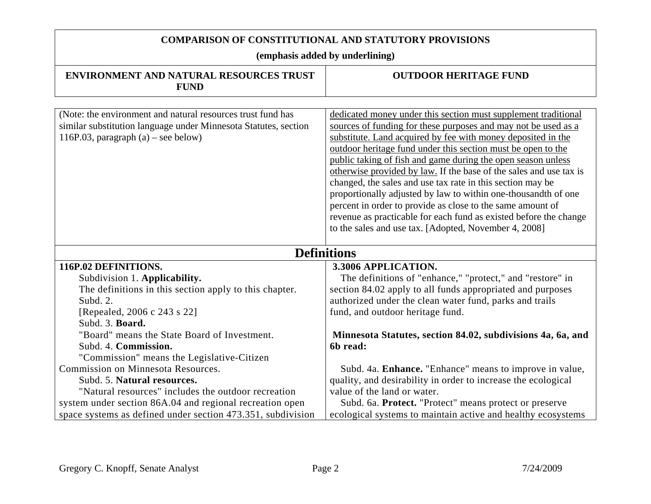| <b>ENVIRONMENT AND NATURAL RESOURCES TRUST</b><br><b>FUND</b>                                                                                                           | <b>OUTDOOR HERITAGE FUND</b>                                                                                                                                                                                                                                                                                                                                                                                                                                                                                                                                                                                                                                                                                                       |
|-------------------------------------------------------------------------------------------------------------------------------------------------------------------------|------------------------------------------------------------------------------------------------------------------------------------------------------------------------------------------------------------------------------------------------------------------------------------------------------------------------------------------------------------------------------------------------------------------------------------------------------------------------------------------------------------------------------------------------------------------------------------------------------------------------------------------------------------------------------------------------------------------------------------|
|                                                                                                                                                                         |                                                                                                                                                                                                                                                                                                                                                                                                                                                                                                                                                                                                                                                                                                                                    |
| (Note: the environment and natural resources trust fund has<br>similar substitution language under Minnesota Statutes, section<br>116P.03, paragraph $(a)$ – see below) | dedicated money under this section must supplement traditional<br>sources of funding for these purposes and may not be used as a<br>substitute. Land acquired by fee with money deposited in the<br>outdoor heritage fund under this section must be open to the<br>public taking of fish and game during the open season unless<br>otherwise provided by law. If the base of the sales and use tax is<br>changed, the sales and use tax rate in this section may be<br>proportionally adjusted by law to within one-thousandth of one<br>percent in order to provide as close to the same amount of<br>revenue as practicable for each fund as existed before the change<br>to the sales and use tax. [Adopted, November 4, 2008] |
| <b>Definitions</b>                                                                                                                                                      |                                                                                                                                                                                                                                                                                                                                                                                                                                                                                                                                                                                                                                                                                                                                    |
| 116P.02 DEFINITIONS.                                                                                                                                                    | 3.3006 APPLICATION.                                                                                                                                                                                                                                                                                                                                                                                                                                                                                                                                                                                                                                                                                                                |
| Subdivision 1. Applicability.                                                                                                                                           | The definitions of "enhance," "protect," and "restore" in                                                                                                                                                                                                                                                                                                                                                                                                                                                                                                                                                                                                                                                                          |
| The definitions in this section apply to this chapter.                                                                                                                  | section 84.02 apply to all funds appropriated and purposes                                                                                                                                                                                                                                                                                                                                                                                                                                                                                                                                                                                                                                                                         |
| Subd. 2.                                                                                                                                                                | authorized under the clean water fund, parks and trails                                                                                                                                                                                                                                                                                                                                                                                                                                                                                                                                                                                                                                                                            |
| [Repealed, 2006 c 243 s 22]                                                                                                                                             | fund, and outdoor heritage fund.                                                                                                                                                                                                                                                                                                                                                                                                                                                                                                                                                                                                                                                                                                   |
| Subd. 3. Board.                                                                                                                                                         |                                                                                                                                                                                                                                                                                                                                                                                                                                                                                                                                                                                                                                                                                                                                    |
| "Board" means the State Board of Investment.                                                                                                                            | Minnesota Statutes, section 84.02, subdivisions 4a, 6a, and                                                                                                                                                                                                                                                                                                                                                                                                                                                                                                                                                                                                                                                                        |
| Subd. 4. Commission.                                                                                                                                                    | 6b read:                                                                                                                                                                                                                                                                                                                                                                                                                                                                                                                                                                                                                                                                                                                           |
| "Commission" means the Legislative-Citizen                                                                                                                              |                                                                                                                                                                                                                                                                                                                                                                                                                                                                                                                                                                                                                                                                                                                                    |
| Commission on Minnesota Resources.                                                                                                                                      | Subd. 4a. Enhance. "Enhance" means to improve in value,                                                                                                                                                                                                                                                                                                                                                                                                                                                                                                                                                                                                                                                                            |
| Subd. 5. Natural resources.                                                                                                                                             | quality, and desirability in order to increase the ecological                                                                                                                                                                                                                                                                                                                                                                                                                                                                                                                                                                                                                                                                      |
| "Natural resources" includes the outdoor recreation                                                                                                                     | value of the land or water.                                                                                                                                                                                                                                                                                                                                                                                                                                                                                                                                                                                                                                                                                                        |
| system under section 86A.04 and regional recreation open                                                                                                                | Subd. 6a. Protect. "Protect" means protect or preserve                                                                                                                                                                                                                                                                                                                                                                                                                                                                                                                                                                                                                                                                             |
| space systems as defined under section 473.351, subdivision                                                                                                             | ecological systems to maintain active and healthy ecosystems                                                                                                                                                                                                                                                                                                                                                                                                                                                                                                                                                                                                                                                                       |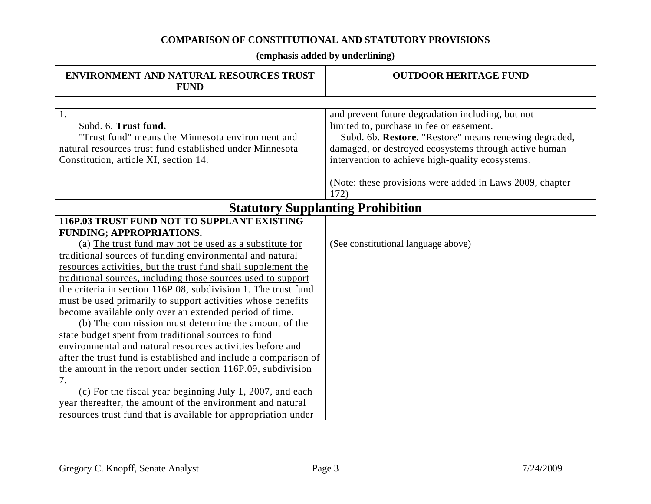| ENVIRONMENT AND NATURAL RESOURCES TRUST<br><b>FUND</b>                                                                                                                                                                                                                                                                                                                                                                                                                                                                                                                                                                                                                                                                                                                                                                                                                                                                                                                                                                                   | <b>OUTDOOR HERITAGE FUND</b>                                                                                                                                                                                                                                        |
|------------------------------------------------------------------------------------------------------------------------------------------------------------------------------------------------------------------------------------------------------------------------------------------------------------------------------------------------------------------------------------------------------------------------------------------------------------------------------------------------------------------------------------------------------------------------------------------------------------------------------------------------------------------------------------------------------------------------------------------------------------------------------------------------------------------------------------------------------------------------------------------------------------------------------------------------------------------------------------------------------------------------------------------|---------------------------------------------------------------------------------------------------------------------------------------------------------------------------------------------------------------------------------------------------------------------|
| $\overline{1}$ .<br>Subd. 6. Trust fund.<br>"Trust fund" means the Minnesota environment and<br>natural resources trust fund established under Minnesota<br>Constitution, article XI, section 14.                                                                                                                                                                                                                                                                                                                                                                                                                                                                                                                                                                                                                                                                                                                                                                                                                                        | and prevent future degradation including, but not<br>limited to, purchase in fee or easement.<br>Subd. 6b. Restore. "Restore" means renewing degraded,<br>damaged, or destroyed ecosystems through active human<br>intervention to achieve high-quality ecosystems. |
|                                                                                                                                                                                                                                                                                                                                                                                                                                                                                                                                                                                                                                                                                                                                                                                                                                                                                                                                                                                                                                          | (Note: these provisions were added in Laws 2009, chapter<br>172)                                                                                                                                                                                                    |
|                                                                                                                                                                                                                                                                                                                                                                                                                                                                                                                                                                                                                                                                                                                                                                                                                                                                                                                                                                                                                                          | <b>Statutory Supplanting Prohibition</b>                                                                                                                                                                                                                            |
| 116P.03 TRUST FUND NOT TO SUPPLANT EXISTING<br>FUNDING; APPROPRIATIONS.<br>(a) The trust fund may not be used as a substitute for<br>traditional sources of funding environmental and natural<br>resources activities, but the trust fund shall supplement the<br>traditional sources, including those sources used to support<br>the criteria in section 116P.08, subdivision 1. The trust fund<br>must be used primarily to support activities whose benefits<br>become available only over an extended period of time.<br>(b) The commission must determine the amount of the<br>state budget spent from traditional sources to fund<br>environmental and natural resources activities before and<br>after the trust fund is established and include a comparison of<br>the amount in the report under section 116P.09, subdivision<br>7.<br>(c) For the fiscal year beginning July 1, 2007, and each<br>year thereafter, the amount of the environment and natural<br>resources trust fund that is available for appropriation under | (See constitutional language above)                                                                                                                                                                                                                                 |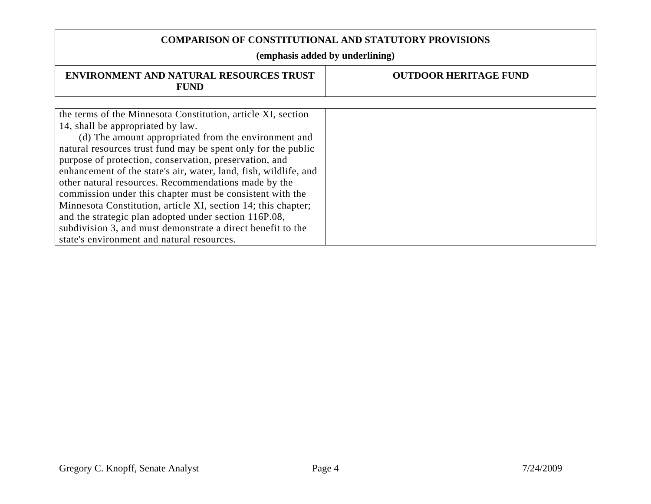| <b>ENVIRONMENT AND NATURAL RESOURCES TRUST</b><br><b>FUND</b>    | <b>OUTDOOR HERITAGE FUND</b> |
|------------------------------------------------------------------|------------------------------|
|                                                                  |                              |
| the terms of the Minnesota Constitution, article XI, section     |                              |
| 14, shall be appropriated by law.                                |                              |
| (d) The amount appropriated from the environment and             |                              |
| natural resources trust fund may be spent only for the public    |                              |
| purpose of protection, conservation, preservation, and           |                              |
| enhancement of the state's air, water, land, fish, wildlife, and |                              |
| other natural resources. Recommendations made by the             |                              |
| commission under this chapter must be consistent with the        |                              |
| Minnesota Constitution, article XI, section 14; this chapter;    |                              |
| and the strategic plan adopted under section 116P.08,            |                              |
| subdivision 3, and must demonstrate a direct benefit to the      |                              |
| state's environment and natural resources.                       |                              |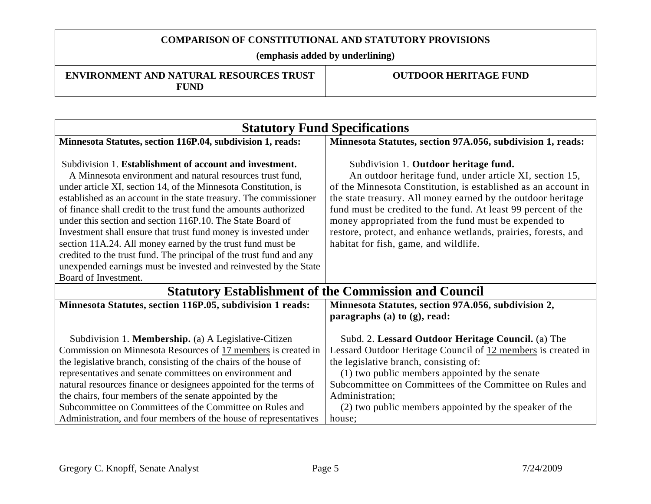**(emphasis added by underlining)** 

**ENVIRONMENT AND NATURAL RESOURCES TRUST FUND** 

| Minnesota Statutes, section 97A.056, subdivision 1, reads:<br>Subdivision 1. Outdoor heritage fund.<br>An outdoor heritage fund, under article XI, section 15,<br>of the Minnesota Constitution, is established as an account in                                                                                                                        |  |
|---------------------------------------------------------------------------------------------------------------------------------------------------------------------------------------------------------------------------------------------------------------------------------------------------------------------------------------------------------|--|
|                                                                                                                                                                                                                                                                                                                                                         |  |
| the state treasury. All money earned by the outdoor heritage<br>fund must be credited to the fund. At least 99 percent of the<br>money appropriated from the fund must be expended to<br>restore, protect, and enhance wetlands, prairies, forests, and<br>habitat for fish, game, and wildlife.                                                        |  |
| Board of Investment.<br><b>Statutory Establishment of the Commission and Council</b>                                                                                                                                                                                                                                                                    |  |
| Minnesota Statutes, section 97A.056, subdivision 2,<br>paragraphs $(a)$ to $(g)$ , read:                                                                                                                                                                                                                                                                |  |
| Subd. 2. Lessard Outdoor Heritage Council. (a) The<br>Lessard Outdoor Heritage Council of 12 members is created in<br>the legislative branch, consisting of:<br>(1) two public members appointed by the senate<br>Subcommittee on Committees of the Committee on Rules and<br>Administration;<br>(2) two public members appointed by the speaker of the |  |
|                                                                                                                                                                                                                                                                                                                                                         |  |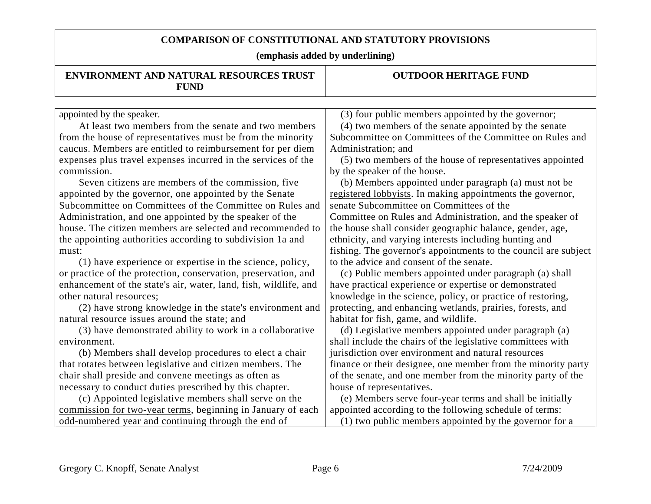| <b>ENVIRONMENT AND NATURAL RESOURCES TRUST</b><br><b>FUND</b>    | <b>OUTDOOR HERITAGE FUND</b>                                    |
|------------------------------------------------------------------|-----------------------------------------------------------------|
|                                                                  |                                                                 |
| appointed by the speaker.                                        | (3) four public members appointed by the governor;              |
| At least two members from the senate and two members             | (4) two members of the senate appointed by the senate           |
| from the house of representatives must be from the minority      | Subcommittee on Committees of the Committee on Rules and        |
| caucus. Members are entitled to reimbursement for per diem       | Administration; and                                             |
| expenses plus travel expenses incurred in the services of the    | (5) two members of the house of representatives appointed       |
| commission.                                                      | by the speaker of the house.                                    |
| Seven citizens are members of the commission, five               | (b) Members appointed under paragraph (a) must not be           |
| appointed by the governor, one appointed by the Senate           | registered lobbyists. In making appointments the governor,      |
| Subcommittee on Committees of the Committee on Rules and         | senate Subcommittee on Committees of the                        |
| Administration, and one appointed by the speaker of the          | Committee on Rules and Administration, and the speaker of       |
| house. The citizen members are selected and recommended to       | the house shall consider geographic balance, gender, age,       |
| the appointing authorities according to subdivision 1a and       | ethnicity, and varying interests including hunting and          |
| must:                                                            | fishing. The governor's appointments to the council are subject |
| (1) have experience or expertise in the science, policy,         | to the advice and consent of the senate.                        |
| or practice of the protection, conservation, preservation, and   | (c) Public members appointed under paragraph (a) shall          |
| enhancement of the state's air, water, land, fish, wildlife, and | have practical experience or expertise or demonstrated          |
| other natural resources;                                         | knowledge in the science, policy, or practice of restoring,     |
| (2) have strong knowledge in the state's environment and         | protecting, and enhancing wetlands, prairies, forests, and      |
| natural resource issues around the state; and                    | habitat for fish, game, and wildlife.                           |
| (3) have demonstrated ability to work in a collaborative         | (d) Legislative members appointed under paragraph (a)           |
| environment.                                                     | shall include the chairs of the legislative committees with     |
| (b) Members shall develop procedures to elect a chair            | jurisdiction over environment and natural resources             |
| that rotates between legislative and citizen members. The        | finance or their designee, one member from the minority party   |
| chair shall preside and convene meetings as often as             | of the senate, and one member from the minority party of the    |
| necessary to conduct duties prescribed by this chapter.          | house of representatives.                                       |
| (c) Appointed legislative members shall serve on the             | (e) Members serve four-year terms and shall be initially        |
| commission for two-year terms, beginning in January of each      | appointed according to the following schedule of terms:         |
| odd-numbered year and continuing through the end of              | (1) two public members appointed by the governor for a          |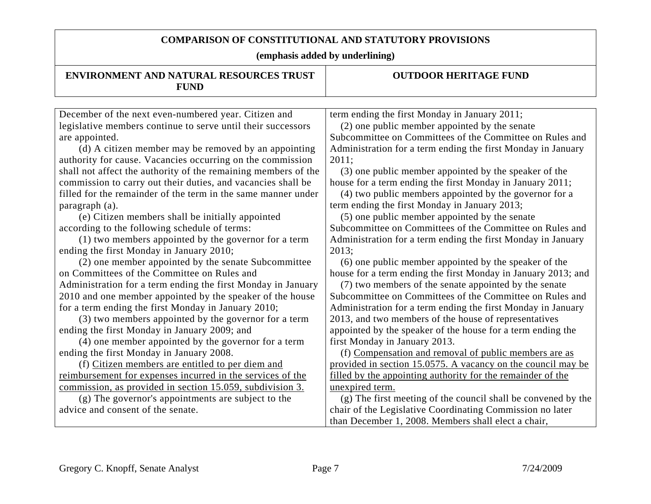| ENVIRONMENT AND NATURAL RESOURCES TRUST<br><b>FUND</b>         | <b>OUTDOOR HERITAGE FUND</b>                                  |
|----------------------------------------------------------------|---------------------------------------------------------------|
|                                                                |                                                               |
| December of the next even-numbered year. Citizen and           | term ending the first Monday in January 2011;                 |
| legislative members continue to serve until their successors   | (2) one public member appointed by the senate                 |
| are appointed.                                                 | Subcommittee on Committees of the Committee on Rules and      |
| (d) A citizen member may be removed by an appointing           | Administration for a term ending the first Monday in January  |
| authority for cause. Vacancies occurring on the commission     | 2011;                                                         |
| shall not affect the authority of the remaining members of the | (3) one public member appointed by the speaker of the         |
| commission to carry out their duties, and vacancies shall be   | house for a term ending the first Monday in January 2011;     |
| filled for the remainder of the term in the same manner under  | (4) two public members appointed by the governor for a        |
| paragraph (a).                                                 | term ending the first Monday in January 2013;                 |
| (e) Citizen members shall be initially appointed               | (5) one public member appointed by the senate                 |
| according to the following schedule of terms:                  | Subcommittee on Committees of the Committee on Rules and      |
| (1) two members appointed by the governor for a term           | Administration for a term ending the first Monday in January  |
| ending the first Monday in January 2010;                       | 2013;                                                         |
| (2) one member appointed by the senate Subcommittee            | (6) one public member appointed by the speaker of the         |
| on Committees of the Committee on Rules and                    | house for a term ending the first Monday in January 2013; and |
| Administration for a term ending the first Monday in January   | (7) two members of the senate appointed by the senate         |
| 2010 and one member appointed by the speaker of the house      | Subcommittee on Committees of the Committee on Rules and      |
| for a term ending the first Monday in January 2010;            | Administration for a term ending the first Monday in January  |
| (3) two members appointed by the governor for a term           | 2013, and two members of the house of representatives         |
| ending the first Monday in January 2009; and                   | appointed by the speaker of the house for a term ending the   |
| (4) one member appointed by the governor for a term            | first Monday in January 2013.                                 |
| ending the first Monday in January 2008.                       | (f) Compensation and removal of public members are as         |
| (f) Citizen members are entitled to per diem and               | provided in section 15.0575. A vacancy on the council may be  |
| reimbursement for expenses incurred in the services of the     | filled by the appointing authority for the remainder of the   |
| commission, as provided in section 15.059, subdivision 3.      | unexpired term.                                               |
| (g) The governor's appointments are subject to the             | (g) The first meeting of the council shall be convened by the |
| advice and consent of the senate.                              | chair of the Legislative Coordinating Commission no later     |
|                                                                | than December 1, 2008. Members shall elect a chair,           |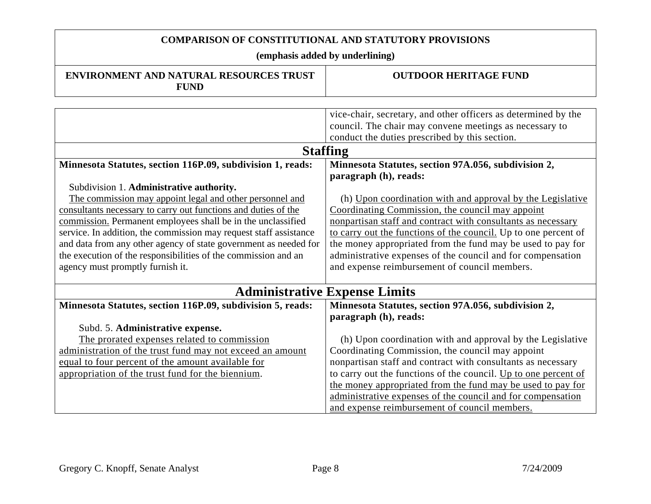| <b>ENVIRONMENT AND NATURAL RESOURCES TRUST</b><br><b>FUND</b>     | <b>OUTDOOR HERITAGE FUND</b>                                    |  |
|-------------------------------------------------------------------|-----------------------------------------------------------------|--|
|                                                                   |                                                                 |  |
|                                                                   | vice-chair, secretary, and other officers as determined by the  |  |
|                                                                   | council. The chair may convene meetings as necessary to         |  |
|                                                                   | conduct the duties prescribed by this section.                  |  |
|                                                                   | <b>Staffing</b>                                                 |  |
| Minnesota Statutes, section 116P.09, subdivision 1, reads:        | Minnesota Statutes, section 97A.056, subdivision 2,             |  |
|                                                                   | paragraph (h), reads:                                           |  |
| Subdivision 1. Administrative authority.                          |                                                                 |  |
| The commission may appoint legal and other personnel and          | (h) Upon coordination with and approval by the Legislative      |  |
| consultants necessary to carry out functions and duties of the    | Coordinating Commission, the council may appoint                |  |
| commission. Permanent employees shall be in the unclassified      | nonpartisan staff and contract with consultants as necessary    |  |
| service. In addition, the commission may request staff assistance | to carry out the functions of the council. Up to one percent of |  |
| and data from any other agency of state government as needed for  | the money appropriated from the fund may be used to pay for     |  |
| the execution of the responsibilities of the commission and an    | administrative expenses of the council and for compensation     |  |
| agency must promptly furnish it.                                  | and expense reimbursement of council members.                   |  |
|                                                                   |                                                                 |  |
| <b>Administrative Expense Limits</b>                              |                                                                 |  |
| Minnesota Statutes, section 116P.09, subdivision 5, reads:        | Minnesota Statutes, section 97A.056, subdivision 2,             |  |
|                                                                   | paragraph (h), reads:                                           |  |
| Subd. 5. Administrative expense.                                  |                                                                 |  |
| The prorated expenses related to commission                       | (h) Upon coordination with and approval by the Legislative      |  |
| administration of the trust fund may not exceed an amount         | Coordinating Commission, the council may appoint                |  |
| equal to four percent of the amount available for                 | nonpartisan staff and contract with consultants as necessary    |  |
| appropriation of the trust fund for the biennium.                 | to carry out the functions of the council. Up to one percent of |  |
|                                                                   | the money appropriated from the fund may be used to pay for     |  |
|                                                                   | administrative expenses of the council and for compensation     |  |
|                                                                   | and expense reimbursement of council members.                   |  |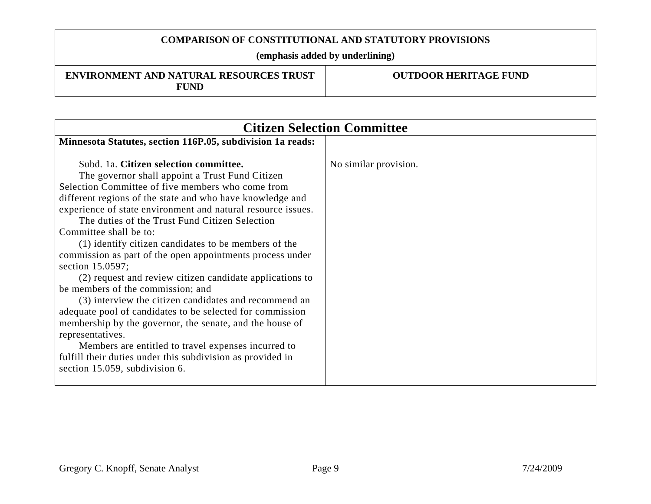**(emphasis added by underlining)** 

#### **ENVIRONMENT AND NATURAL RESOURCES TRUST FUND**

| <b>Citizen Selection Committee</b>                                                                                                                                                                                                                                                                                                                                                                                                                                                                                                                                                                                                                                                                                                                                                                                                                                                                                                                             |                       |
|----------------------------------------------------------------------------------------------------------------------------------------------------------------------------------------------------------------------------------------------------------------------------------------------------------------------------------------------------------------------------------------------------------------------------------------------------------------------------------------------------------------------------------------------------------------------------------------------------------------------------------------------------------------------------------------------------------------------------------------------------------------------------------------------------------------------------------------------------------------------------------------------------------------------------------------------------------------|-----------------------|
| Minnesota Statutes, section 116P.05, subdivision 1a reads:                                                                                                                                                                                                                                                                                                                                                                                                                                                                                                                                                                                                                                                                                                                                                                                                                                                                                                     |                       |
| Subd. 1a. Citizen selection committee.<br>The governor shall appoint a Trust Fund Citizen<br>Selection Committee of five members who come from<br>different regions of the state and who have knowledge and<br>experience of state environment and natural resource issues.<br>The duties of the Trust Fund Citizen Selection<br>Committee shall be to:<br>(1) identify citizen candidates to be members of the<br>commission as part of the open appointments process under<br>section 15.0597;<br>(2) request and review citizen candidate applications to<br>be members of the commission; and<br>(3) interview the citizen candidates and recommend an<br>adequate pool of candidates to be selected for commission<br>membership by the governor, the senate, and the house of<br>representatives.<br>Members are entitled to travel expenses incurred to<br>fulfill their duties under this subdivision as provided in<br>section 15.059, subdivision 6. | No similar provision. |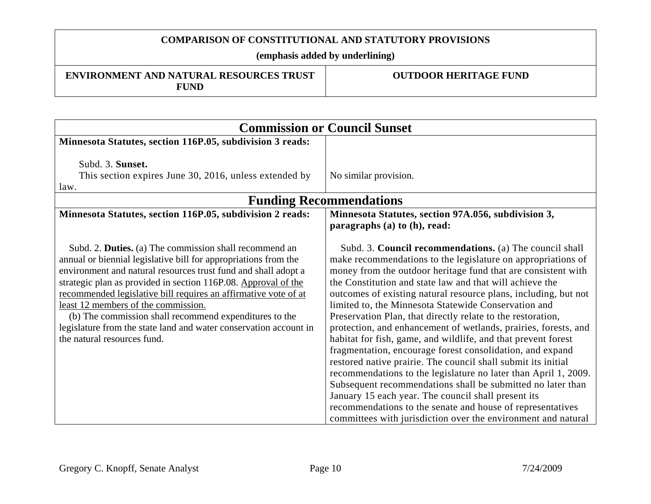#### **(emphasis added by underlining)**

#### **ENVIRONMENT AND NATURAL RESOURCES TRUST FUND**

| <b>Commission or Council Sunset</b>                                                                                                                                                                                                                                                                                                                                                                                                                                                                                                   |                                                                                                                                                                                                                                                                                                                                                                                                                                                                                                                                                                                                                                                                                                                                                                                                                                                                                                                                                                                                                                          |  |
|---------------------------------------------------------------------------------------------------------------------------------------------------------------------------------------------------------------------------------------------------------------------------------------------------------------------------------------------------------------------------------------------------------------------------------------------------------------------------------------------------------------------------------------|------------------------------------------------------------------------------------------------------------------------------------------------------------------------------------------------------------------------------------------------------------------------------------------------------------------------------------------------------------------------------------------------------------------------------------------------------------------------------------------------------------------------------------------------------------------------------------------------------------------------------------------------------------------------------------------------------------------------------------------------------------------------------------------------------------------------------------------------------------------------------------------------------------------------------------------------------------------------------------------------------------------------------------------|--|
| Minnesota Statutes, section 116P.05, subdivision 3 reads:                                                                                                                                                                                                                                                                                                                                                                                                                                                                             |                                                                                                                                                                                                                                                                                                                                                                                                                                                                                                                                                                                                                                                                                                                                                                                                                                                                                                                                                                                                                                          |  |
| Subd. 3. Sunset.<br>This section expires June 30, 2016, unless extended by<br>law.                                                                                                                                                                                                                                                                                                                                                                                                                                                    | No similar provision.                                                                                                                                                                                                                                                                                                                                                                                                                                                                                                                                                                                                                                                                                                                                                                                                                                                                                                                                                                                                                    |  |
| <b>Funding Recommendations</b>                                                                                                                                                                                                                                                                                                                                                                                                                                                                                                        |                                                                                                                                                                                                                                                                                                                                                                                                                                                                                                                                                                                                                                                                                                                                                                                                                                                                                                                                                                                                                                          |  |
| Minnesota Statutes, section 116P.05, subdivision 2 reads:                                                                                                                                                                                                                                                                                                                                                                                                                                                                             | Minnesota Statutes, section 97A.056, subdivision 3,<br>paragraphs (a) to (h), read:                                                                                                                                                                                                                                                                                                                                                                                                                                                                                                                                                                                                                                                                                                                                                                                                                                                                                                                                                      |  |
| Subd. 2. Duties. (a) The commission shall recommend an<br>annual or biennial legislative bill for appropriations from the<br>environment and natural resources trust fund and shall adopt a<br>strategic plan as provided in section 116P.08. Approval of the<br>recommended legislative bill requires an affirmative vote of at<br>least 12 members of the commission.<br>(b) The commission shall recommend expenditures to the<br>legislature from the state land and water conservation account in<br>the natural resources fund. | Subd. 3. Council recommendations. (a) The council shall<br>make recommendations to the legislature on appropriations of<br>money from the outdoor heritage fund that are consistent with<br>the Constitution and state law and that will achieve the<br>outcomes of existing natural resource plans, including, but not<br>limited to, the Minnesota Statewide Conservation and<br>Preservation Plan, that directly relate to the restoration,<br>protection, and enhancement of wetlands, prairies, forests, and<br>habitat for fish, game, and wildlife, and that prevent forest<br>fragmentation, encourage forest consolidation, and expand<br>restored native prairie. The council shall submit its initial<br>recommendations to the legislature no later than April 1, 2009.<br>Subsequent recommendations shall be submitted no later than<br>January 15 each year. The council shall present its<br>recommendations to the senate and house of representatives<br>committees with jurisdiction over the environment and natural |  |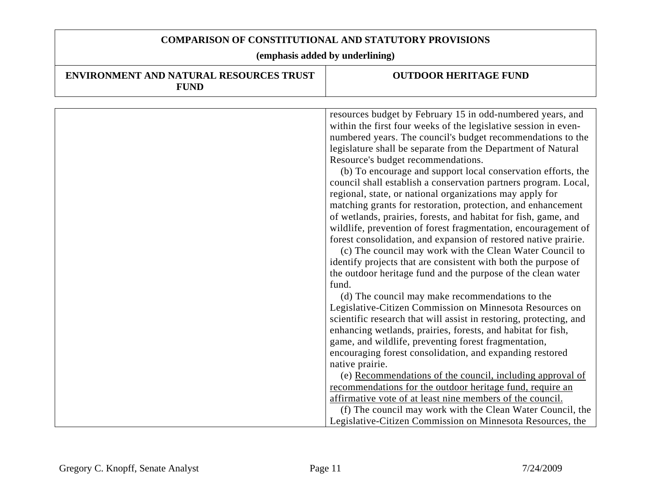| <b>ENVIRONMENT AND NATURAL RESOURCES TRUST</b><br><b>FUND</b> | <b>OUTDOOR HERITAGE FUND</b>                                                                                                                                                                                                                                                                                                                                                                                                                                                                                                                                                                                                                                                                                                                                              |
|---------------------------------------------------------------|---------------------------------------------------------------------------------------------------------------------------------------------------------------------------------------------------------------------------------------------------------------------------------------------------------------------------------------------------------------------------------------------------------------------------------------------------------------------------------------------------------------------------------------------------------------------------------------------------------------------------------------------------------------------------------------------------------------------------------------------------------------------------|
|                                                               |                                                                                                                                                                                                                                                                                                                                                                                                                                                                                                                                                                                                                                                                                                                                                                           |
|                                                               | resources budget by February 15 in odd-numbered years, and<br>within the first four weeks of the legislative session in even-<br>numbered years. The council's budget recommendations to the<br>legislature shall be separate from the Department of Natural<br>Resource's budget recommendations.<br>(b) To encourage and support local conservation efforts, the<br>council shall establish a conservation partners program. Local,<br>regional, state, or national organizations may apply for<br>matching grants for restoration, protection, and enhancement<br>of wetlands, prairies, forests, and habitat for fish, game, and<br>wildlife, prevention of forest fragmentation, encouragement of<br>forest consolidation, and expansion of restored native prairie. |
|                                                               | (c) The council may work with the Clean Water Council to<br>identify projects that are consistent with both the purpose of<br>the outdoor heritage fund and the purpose of the clean water<br>fund.                                                                                                                                                                                                                                                                                                                                                                                                                                                                                                                                                                       |
|                                                               | (d) The council may make recommendations to the<br>Legislative-Citizen Commission on Minnesota Resources on<br>scientific research that will assist in restoring, protecting, and<br>enhancing wetlands, prairies, forests, and habitat for fish,<br>game, and wildlife, preventing forest fragmentation,                                                                                                                                                                                                                                                                                                                                                                                                                                                                 |
|                                                               | encouraging forest consolidation, and expanding restored<br>native prairie.                                                                                                                                                                                                                                                                                                                                                                                                                                                                                                                                                                                                                                                                                               |
|                                                               | (e) Recommendations of the council, including approval of<br>recommendations for the outdoor heritage fund, require an<br>affirmative vote of at least nine members of the council.                                                                                                                                                                                                                                                                                                                                                                                                                                                                                                                                                                                       |
|                                                               | (f) The council may work with the Clean Water Council, the                                                                                                                                                                                                                                                                                                                                                                                                                                                                                                                                                                                                                                                                                                                |
|                                                               | Legislative-Citizen Commission on Minnesota Resources, the                                                                                                                                                                                                                                                                                                                                                                                                                                                                                                                                                                                                                                                                                                                |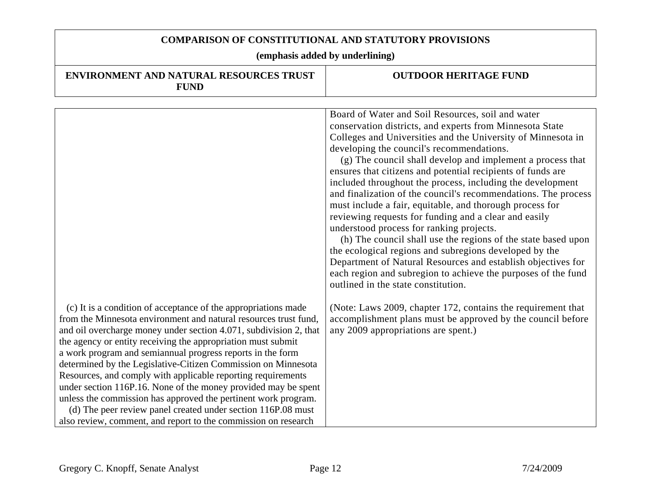| <b>ENVIRONMENT AND NATURAL RESOURCES TRUST</b><br><b>FUND</b>                                                                                                                                                                                                                                                                                                                                                                                                                                                                                                                                                                                                                                                                                | <b>OUTDOOR HERITAGE FUND</b>                                                                                                                                                                                                                                                                                                                                                                                                                                                                                                                                                                                                                                                                                                                                                                                                                                                                                                                                |
|----------------------------------------------------------------------------------------------------------------------------------------------------------------------------------------------------------------------------------------------------------------------------------------------------------------------------------------------------------------------------------------------------------------------------------------------------------------------------------------------------------------------------------------------------------------------------------------------------------------------------------------------------------------------------------------------------------------------------------------------|-------------------------------------------------------------------------------------------------------------------------------------------------------------------------------------------------------------------------------------------------------------------------------------------------------------------------------------------------------------------------------------------------------------------------------------------------------------------------------------------------------------------------------------------------------------------------------------------------------------------------------------------------------------------------------------------------------------------------------------------------------------------------------------------------------------------------------------------------------------------------------------------------------------------------------------------------------------|
|                                                                                                                                                                                                                                                                                                                                                                                                                                                                                                                                                                                                                                                                                                                                              |                                                                                                                                                                                                                                                                                                                                                                                                                                                                                                                                                                                                                                                                                                                                                                                                                                                                                                                                                             |
|                                                                                                                                                                                                                                                                                                                                                                                                                                                                                                                                                                                                                                                                                                                                              | Board of Water and Soil Resources, soil and water<br>conservation districts, and experts from Minnesota State<br>Colleges and Universities and the University of Minnesota in<br>developing the council's recommendations.<br>(g) The council shall develop and implement a process that<br>ensures that citizens and potential recipients of funds are<br>included throughout the process, including the development<br>and finalization of the council's recommendations. The process<br>must include a fair, equitable, and thorough process for<br>reviewing requests for funding and a clear and easily<br>understood process for ranking projects.<br>(h) The council shall use the regions of the state based upon<br>the ecological regions and subregions developed by the<br>Department of Natural Resources and establish objectives for<br>each region and subregion to achieve the purposes of the fund<br>outlined in the state constitution. |
| (c) It is a condition of acceptance of the appropriations made<br>from the Minnesota environment and natural resources trust fund,<br>and oil overcharge money under section 4.071, subdivision 2, that<br>the agency or entity receiving the appropriation must submit<br>a work program and semiannual progress reports in the form<br>determined by the Legislative-Citizen Commission on Minnesota<br>Resources, and comply with applicable reporting requirements<br>under section 116P.16. None of the money provided may be spent<br>unless the commission has approved the pertinent work program.<br>(d) The peer review panel created under section 116P.08 must<br>also review, comment, and report to the commission on research | (Note: Laws 2009, chapter 172, contains the requirement that<br>accomplishment plans must be approved by the council before<br>any 2009 appropriations are spent.)                                                                                                                                                                                                                                                                                                                                                                                                                                                                                                                                                                                                                                                                                                                                                                                          |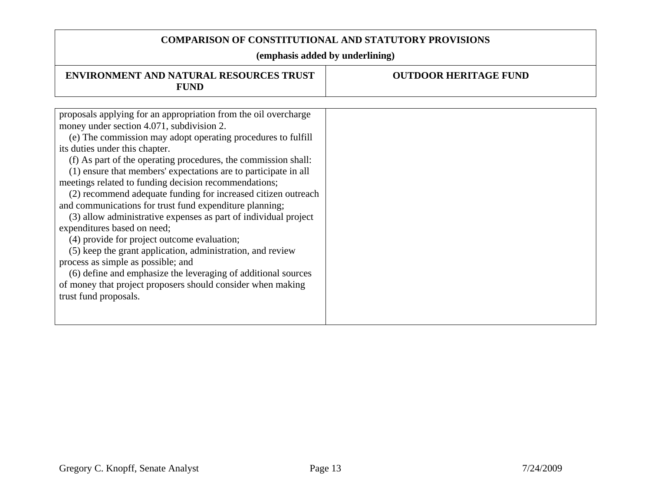| <b>ENVIRONMENT AND NATURAL RESOURCES TRUST</b><br><b>FUND</b>                                                                                                                                                                                                                                                                                                                                                                                                                                                                                                                                                                                                                                                                                                                                                                                                                                                                                          | <b>OUTDOOR HERITAGE FUND</b> |
|--------------------------------------------------------------------------------------------------------------------------------------------------------------------------------------------------------------------------------------------------------------------------------------------------------------------------------------------------------------------------------------------------------------------------------------------------------------------------------------------------------------------------------------------------------------------------------------------------------------------------------------------------------------------------------------------------------------------------------------------------------------------------------------------------------------------------------------------------------------------------------------------------------------------------------------------------------|------------------------------|
|                                                                                                                                                                                                                                                                                                                                                                                                                                                                                                                                                                                                                                                                                                                                                                                                                                                                                                                                                        |                              |
| proposals applying for an appropriation from the oil overcharge<br>money under section 4.071, subdivision 2.<br>(e) The commission may adopt operating procedures to fulfill<br>its duties under this chapter.<br>(f) As part of the operating procedures, the commission shall:<br>(1) ensure that members' expectations are to participate in all<br>meetings related to funding decision recommendations;<br>(2) recommend adequate funding for increased citizen outreach<br>and communications for trust fund expenditure planning;<br>(3) allow administrative expenses as part of individual project<br>expenditures based on need;<br>(4) provide for project outcome evaluation;<br>(5) keep the grant application, administration, and review<br>process as simple as possible; and<br>(6) define and emphasize the leveraging of additional sources<br>of money that project proposers should consider when making<br>trust fund proposals. |                              |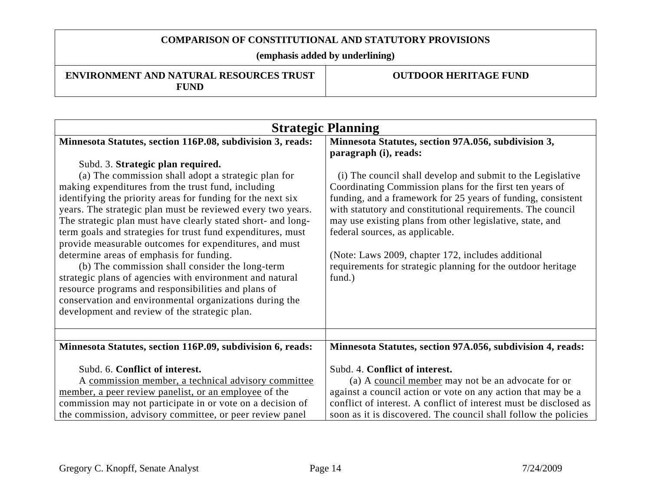**(emphasis added by underlining)** 

#### **ENVIRONMENT AND NATURAL RESOURCES TRUST FUND**

| <b>Strategic Planning</b>                                                                                                                                                                                                                                                                                                                                                                                                                                                                                                                                                                                                                                                                                                                                                                                                                                         |                                                                                                                                                                                                                                                                                                                                                                                                                                                                                                                                                                        |
|-------------------------------------------------------------------------------------------------------------------------------------------------------------------------------------------------------------------------------------------------------------------------------------------------------------------------------------------------------------------------------------------------------------------------------------------------------------------------------------------------------------------------------------------------------------------------------------------------------------------------------------------------------------------------------------------------------------------------------------------------------------------------------------------------------------------------------------------------------------------|------------------------------------------------------------------------------------------------------------------------------------------------------------------------------------------------------------------------------------------------------------------------------------------------------------------------------------------------------------------------------------------------------------------------------------------------------------------------------------------------------------------------------------------------------------------------|
| Minnesota Statutes, section 116P.08, subdivision 3, reads:<br>Subd. 3. Strategic plan required.<br>(a) The commission shall adopt a strategic plan for<br>making expenditures from the trust fund, including<br>identifying the priority areas for funding for the next six<br>years. The strategic plan must be reviewed every two years.<br>The strategic plan must have clearly stated short- and long-<br>term goals and strategies for trust fund expenditures, must<br>provide measurable outcomes for expenditures, and must<br>determine areas of emphasis for funding.<br>(b) The commission shall consider the long-term<br>strategic plans of agencies with environment and natural<br>resource programs and responsibilities and plans of<br>conservation and environmental organizations during the<br>development and review of the strategic plan. | Minnesota Statutes, section 97A.056, subdivision 3,<br>paragraph (i), reads:<br>(i) The council shall develop and submit to the Legislative<br>Coordinating Commission plans for the first ten years of<br>funding, and a framework for 25 years of funding, consistent<br>with statutory and constitutional requirements. The council<br>may use existing plans from other legislative, state, and<br>federal sources, as applicable.<br>(Note: Laws 2009, chapter 172, includes additional<br>requirements for strategic planning for the outdoor heritage<br>fund.) |
|                                                                                                                                                                                                                                                                                                                                                                                                                                                                                                                                                                                                                                                                                                                                                                                                                                                                   |                                                                                                                                                                                                                                                                                                                                                                                                                                                                                                                                                                        |
| Minnesota Statutes, section 116P.09, subdivision 6, reads:                                                                                                                                                                                                                                                                                                                                                                                                                                                                                                                                                                                                                                                                                                                                                                                                        | Minnesota Statutes, section 97A.056, subdivision 4, reads:                                                                                                                                                                                                                                                                                                                                                                                                                                                                                                             |
| Subd. 6. Conflict of interest.<br>A commission member, a technical advisory committee<br>member, a peer review panelist, or an employee of the<br>commission may not participate in or vote on a decision of<br>the commission, advisory committee, or peer review panel                                                                                                                                                                                                                                                                                                                                                                                                                                                                                                                                                                                          | Subd. 4. Conflict of interest.<br>(a) A council member may not be an advocate for or<br>against a council action or vote on any action that may be a<br>conflict of interest. A conflict of interest must be disclosed as<br>soon as it is discovered. The council shall follow the policies                                                                                                                                                                                                                                                                           |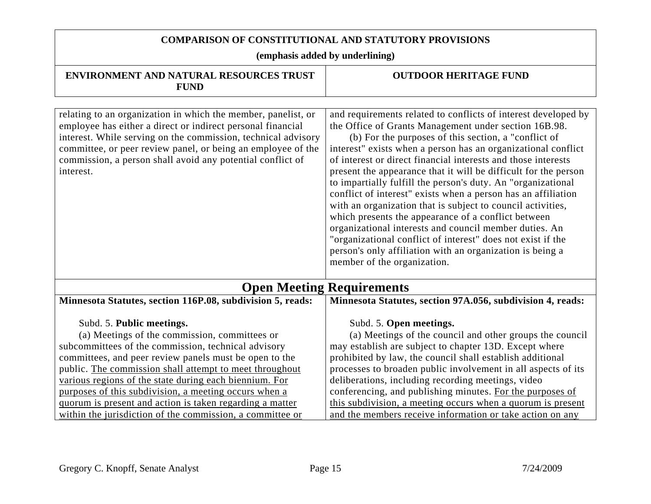| <b>ENVIRONMENT AND NATURAL RESOURCES TRUST</b><br><b>FUND</b>                                                                                                                                                                                                                                                                                                                                                                                                                                      | <b>OUTDOOR HERITAGE FUND</b>                                                                                                                                                                                                                                                                                                                                                                                                                                                                                                                                                                                                                                                                                                                                                                                                                                     |
|----------------------------------------------------------------------------------------------------------------------------------------------------------------------------------------------------------------------------------------------------------------------------------------------------------------------------------------------------------------------------------------------------------------------------------------------------------------------------------------------------|------------------------------------------------------------------------------------------------------------------------------------------------------------------------------------------------------------------------------------------------------------------------------------------------------------------------------------------------------------------------------------------------------------------------------------------------------------------------------------------------------------------------------------------------------------------------------------------------------------------------------------------------------------------------------------------------------------------------------------------------------------------------------------------------------------------------------------------------------------------|
| relating to an organization in which the member, panelist, or<br>employee has either a direct or indirect personal financial<br>interest. While serving on the commission, technical advisory<br>committee, or peer review panel, or being an employee of the<br>commission, a person shall avoid any potential conflict of<br>interest.                                                                                                                                                           | and requirements related to conflicts of interest developed by<br>the Office of Grants Management under section 16B.98.<br>(b) For the purposes of this section, a "conflict of<br>interest" exists when a person has an organizational conflict<br>of interest or direct financial interests and those interests<br>present the appearance that it will be difficult for the person<br>to impartially fulfill the person's duty. An "organizational<br>conflict of interest" exists when a person has an affiliation<br>with an organization that is subject to council activities,<br>which presents the appearance of a conflict between<br>organizational interests and council member duties. An<br>"organizational conflict of interest" does not exist if the<br>person's only affiliation with an organization is being a<br>member of the organization. |
|                                                                                                                                                                                                                                                                                                                                                                                                                                                                                                    | <b>Open Meeting Requirements</b>                                                                                                                                                                                                                                                                                                                                                                                                                                                                                                                                                                                                                                                                                                                                                                                                                                 |
| Minnesota Statutes, section 116P.08, subdivision 5, reads:                                                                                                                                                                                                                                                                                                                                                                                                                                         | Minnesota Statutes, section 97A.056, subdivision 4, reads:                                                                                                                                                                                                                                                                                                                                                                                                                                                                                                                                                                                                                                                                                                                                                                                                       |
| Subd. 5. Public meetings.<br>(a) Meetings of the commission, committees or<br>subcommittees of the commission, technical advisory<br>committees, and peer review panels must be open to the<br>public. The commission shall attempt to meet throughout<br>various regions of the state during each biennium. For<br>purposes of this subdivision, a meeting occurs when a<br>quorum is present and action is taken regarding a matter<br>within the jurisdiction of the commission, a committee or | Subd. 5. Open meetings.<br>(a) Meetings of the council and other groups the council<br>may establish are subject to chapter 13D. Except where<br>prohibited by law, the council shall establish additional<br>processes to broaden public involvement in all aspects of its<br>deliberations, including recording meetings, video<br>conferencing, and publishing minutes. For the purposes of<br>this subdivision, a meeting occurs when a quorum is present<br>and the members receive information or take action on any                                                                                                                                                                                                                                                                                                                                       |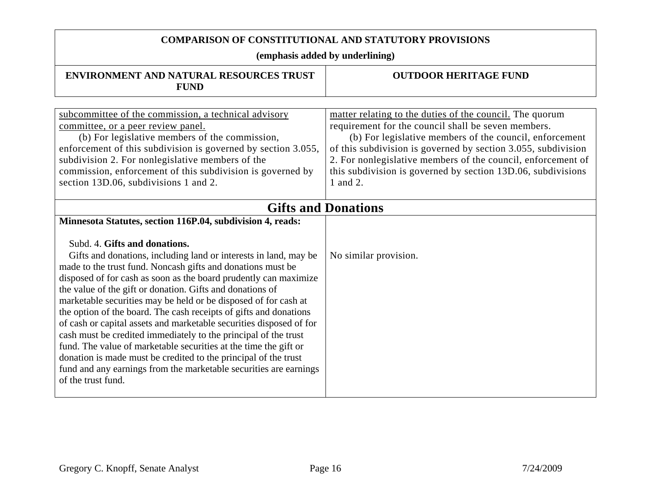| <b>ENVIRONMENT AND NATURAL RESOURCES TRUST</b><br><b>FUND</b>                                                                                                                                                                                                                                                                                                                                                                                                                                                                                                                                                                                                                                                                                                                                                                                                                       | <b>OUTDOOR HERITAGE FUND</b>                                                                                                                                                                                                                                                                                                                                                            |  |
|-------------------------------------------------------------------------------------------------------------------------------------------------------------------------------------------------------------------------------------------------------------------------------------------------------------------------------------------------------------------------------------------------------------------------------------------------------------------------------------------------------------------------------------------------------------------------------------------------------------------------------------------------------------------------------------------------------------------------------------------------------------------------------------------------------------------------------------------------------------------------------------|-----------------------------------------------------------------------------------------------------------------------------------------------------------------------------------------------------------------------------------------------------------------------------------------------------------------------------------------------------------------------------------------|--|
|                                                                                                                                                                                                                                                                                                                                                                                                                                                                                                                                                                                                                                                                                                                                                                                                                                                                                     |                                                                                                                                                                                                                                                                                                                                                                                         |  |
| subcommittee of the commission, a technical advisory<br>committee, or a peer review panel.<br>(b) For legislative members of the commission,<br>enforcement of this subdivision is governed by section 3.055,<br>subdivision 2. For nonlegislative members of the<br>commission, enforcement of this subdivision is governed by<br>section 13D.06, subdivisions 1 and 2.                                                                                                                                                                                                                                                                                                                                                                                                                                                                                                            | matter relating to the duties of the council. The quorum<br>requirement for the council shall be seven members.<br>(b) For legislative members of the council, enforcement<br>of this subdivision is governed by section 3.055, subdivision<br>2. For nonlegislative members of the council, enforcement of<br>this subdivision is governed by section 13D.06, subdivisions<br>1 and 2. |  |
| <b>Gifts and Donations</b>                                                                                                                                                                                                                                                                                                                                                                                                                                                                                                                                                                                                                                                                                                                                                                                                                                                          |                                                                                                                                                                                                                                                                                                                                                                                         |  |
| Minnesota Statutes, section 116P.04, subdivision 4, reads:<br>Subd. 4. Gifts and donations.<br>Gifts and donations, including land or interests in land, may be<br>made to the trust fund. Noncash gifts and donations must be<br>disposed of for cash as soon as the board prudently can maximize<br>the value of the gift or donation. Gifts and donations of<br>marketable securities may be held or be disposed of for cash at<br>the option of the board. The cash receipts of gifts and donations<br>of cash or capital assets and marketable securities disposed of for<br>cash must be credited immediately to the principal of the trust<br>fund. The value of marketable securities at the time the gift or<br>donation is made must be credited to the principal of the trust<br>fund and any earnings from the marketable securities are earnings<br>of the trust fund. | No similar provision.                                                                                                                                                                                                                                                                                                                                                                   |  |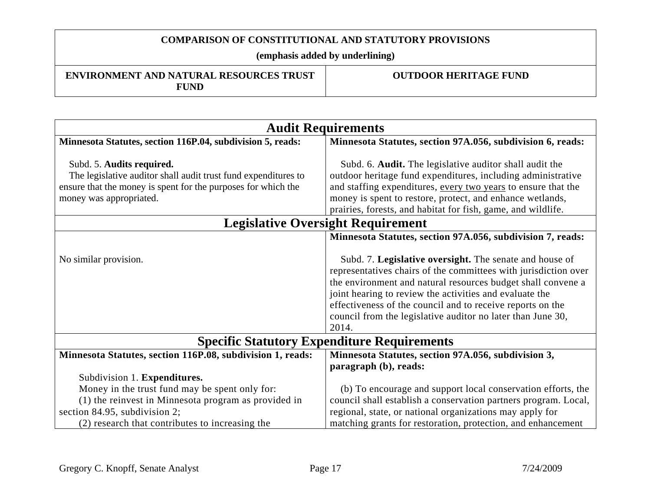**(emphasis added by underlining)** 

#### **ENVIRONMENT AND NATURAL RESOURCES TRUST FUND**

| <b>Audit Requirements</b>                                                                                                                                                               |                                                                                                                                                                                                                                                                                                                                                                                             |
|-----------------------------------------------------------------------------------------------------------------------------------------------------------------------------------------|---------------------------------------------------------------------------------------------------------------------------------------------------------------------------------------------------------------------------------------------------------------------------------------------------------------------------------------------------------------------------------------------|
| Minnesota Statutes, section 116P.04, subdivision 5, reads:                                                                                                                              | Minnesota Statutes, section 97A.056, subdivision 6, reads:                                                                                                                                                                                                                                                                                                                                  |
| Subd. 5. Audits required.<br>The legislative auditor shall audit trust fund expenditures to<br>ensure that the money is spent for the purposes for which the<br>money was appropriated. | Subd. 6. Audit. The legislative auditor shall audit the<br>outdoor heritage fund expenditures, including administrative<br>and staffing expenditures, every two years to ensure that the<br>money is spent to restore, protect, and enhance wetlands,<br>prairies, forests, and habitat for fish, game, and wildlife.                                                                       |
|                                                                                                                                                                                         | <b>Legislative Oversight Requirement</b>                                                                                                                                                                                                                                                                                                                                                    |
|                                                                                                                                                                                         | Minnesota Statutes, section 97A.056, subdivision 7, reads:                                                                                                                                                                                                                                                                                                                                  |
| No similar provision.                                                                                                                                                                   | Subd. 7. Legislative oversight. The senate and house of<br>representatives chairs of the committees with jurisdiction over<br>the environment and natural resources budget shall convene a<br>joint hearing to review the activities and evaluate the<br>effectiveness of the council and to receive reports on the<br>council from the legislative auditor no later than June 30,<br>2014. |
| <b>Specific Statutory Expenditure Requirements</b>                                                                                                                                      |                                                                                                                                                                                                                                                                                                                                                                                             |
| Minnesota Statutes, section 116P.08, subdivision 1, reads:                                                                                                                              | Minnesota Statutes, section 97A.056, subdivision 3,<br>paragraph (b), reads:                                                                                                                                                                                                                                                                                                                |
| Subdivision 1. Expenditures.                                                                                                                                                            |                                                                                                                                                                                                                                                                                                                                                                                             |
| Money in the trust fund may be spent only for:                                                                                                                                          | (b) To encourage and support local conservation efforts, the                                                                                                                                                                                                                                                                                                                                |
| (1) the reinvest in Minnesota program as provided in                                                                                                                                    | council shall establish a conservation partners program. Local,                                                                                                                                                                                                                                                                                                                             |
| section 84.95, subdivision 2;                                                                                                                                                           | regional, state, or national organizations may apply for                                                                                                                                                                                                                                                                                                                                    |
| (2) research that contributes to increasing the                                                                                                                                         | matching grants for restoration, protection, and enhancement                                                                                                                                                                                                                                                                                                                                |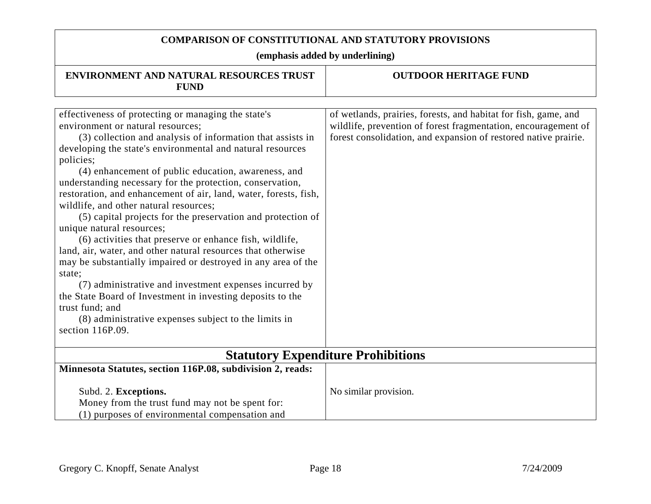| <b>ENVIRONMENT AND NATURAL RESOURCES TRUST</b><br><b>FUND</b>                                                                                                                                                                                                                                                                                                                                                                                                                                                                                                                                                                                                                                                                                                                                                                                                                                                                                                                                | <b>OUTDOOR HERITAGE FUND</b>                                                                                                                                                                         |
|----------------------------------------------------------------------------------------------------------------------------------------------------------------------------------------------------------------------------------------------------------------------------------------------------------------------------------------------------------------------------------------------------------------------------------------------------------------------------------------------------------------------------------------------------------------------------------------------------------------------------------------------------------------------------------------------------------------------------------------------------------------------------------------------------------------------------------------------------------------------------------------------------------------------------------------------------------------------------------------------|------------------------------------------------------------------------------------------------------------------------------------------------------------------------------------------------------|
|                                                                                                                                                                                                                                                                                                                                                                                                                                                                                                                                                                                                                                                                                                                                                                                                                                                                                                                                                                                              |                                                                                                                                                                                                      |
| effectiveness of protecting or managing the state's<br>environment or natural resources;<br>(3) collection and analysis of information that assists in<br>developing the state's environmental and natural resources<br>policies;<br>(4) enhancement of public education, awareness, and<br>understanding necessary for the protection, conservation,<br>restoration, and enhancement of air, land, water, forests, fish,<br>wildlife, and other natural resources;<br>(5) capital projects for the preservation and protection of<br>unique natural resources;<br>(6) activities that preserve or enhance fish, wildlife,<br>land, air, water, and other natural resources that otherwise<br>may be substantially impaired or destroyed in any area of the<br>state;<br>(7) administrative and investment expenses incurred by<br>the State Board of Investment in investing deposits to the<br>trust fund; and<br>(8) administrative expenses subject to the limits in<br>section 116P.09. | of wetlands, prairies, forests, and habitat for fish, game, and<br>wildlife, prevention of forest fragmentation, encouragement of<br>forest consolidation, and expansion of restored native prairie. |
|                                                                                                                                                                                                                                                                                                                                                                                                                                                                                                                                                                                                                                                                                                                                                                                                                                                                                                                                                                                              |                                                                                                                                                                                                      |
|                                                                                                                                                                                                                                                                                                                                                                                                                                                                                                                                                                                                                                                                                                                                                                                                                                                                                                                                                                                              | <b>Statutory Expenditure Prohibitions</b>                                                                                                                                                            |
| Minnesota Statutes, section 116P.08, subdivision 2, reads:                                                                                                                                                                                                                                                                                                                                                                                                                                                                                                                                                                                                                                                                                                                                                                                                                                                                                                                                   |                                                                                                                                                                                                      |
| Subd. 2. Exceptions.<br>Money from the trust fund may not be spent for:<br>(1) purposes of environmental compensation and                                                                                                                                                                                                                                                                                                                                                                                                                                                                                                                                                                                                                                                                                                                                                                                                                                                                    | No similar provision.                                                                                                                                                                                |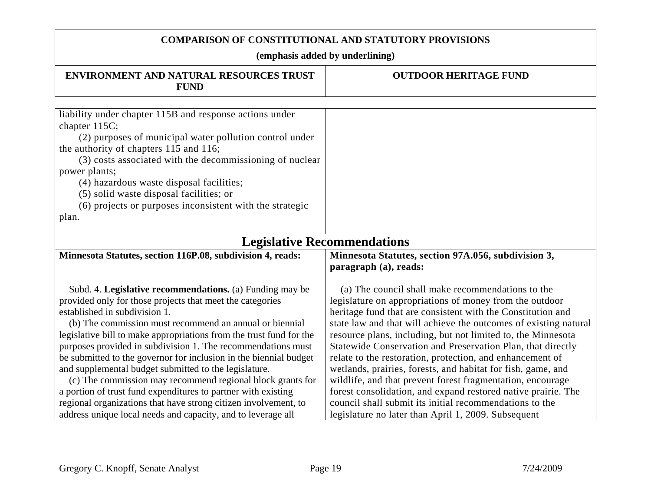| <b>ENVIRONMENT AND NATURAL RESOURCES TRUST</b><br><b>FUND</b>                                                                   | <b>OUTDOOR HERITAGE FUND</b>                                                                                   |
|---------------------------------------------------------------------------------------------------------------------------------|----------------------------------------------------------------------------------------------------------------|
|                                                                                                                                 |                                                                                                                |
| liability under chapter 115B and response actions under                                                                         |                                                                                                                |
| chapter 115C;                                                                                                                   |                                                                                                                |
| (2) purposes of municipal water pollution control under                                                                         |                                                                                                                |
| the authority of chapters 115 and 116;                                                                                          |                                                                                                                |
| (3) costs associated with the decommissioning of nuclear                                                                        |                                                                                                                |
| power plants;                                                                                                                   |                                                                                                                |
| (4) hazardous waste disposal facilities;                                                                                        |                                                                                                                |
| (5) solid waste disposal facilities; or                                                                                         |                                                                                                                |
| (6) projects or purposes inconsistent with the strategic                                                                        |                                                                                                                |
| plan.                                                                                                                           |                                                                                                                |
|                                                                                                                                 |                                                                                                                |
|                                                                                                                                 | <b>Legislative Recommendations</b>                                                                             |
| Minnesota Statutes, section 116P.08, subdivision 4, reads:                                                                      | Minnesota Statutes, section 97A.056, subdivision 3,                                                            |
|                                                                                                                                 | paragraph (a), reads:                                                                                          |
|                                                                                                                                 |                                                                                                                |
| Subd. 4. Legislative recommendations. (a) Funding may be                                                                        | (a) The council shall make recommendations to the                                                              |
| provided only for those projects that meet the categories                                                                       | legislature on appropriations of money from the outdoor                                                        |
| established in subdivision 1.                                                                                                   | heritage fund that are consistent with the Constitution and                                                    |
| (b) The commission must recommend an annual or biennial                                                                         | state law and that will achieve the outcomes of existing natural                                               |
| legislative bill to make appropriations from the trust fund for the                                                             | resource plans, including, but not limited to, the Minnesota                                                   |
| purposes provided in subdivision 1. The recommendations must                                                                    | Statewide Conservation and Preservation Plan, that directly                                                    |
| be submitted to the governor for inclusion in the biennial budget                                                               | relate to the restoration, protection, and enhancement of                                                      |
| and supplemental budget submitted to the legislature.                                                                           | wetlands, prairies, forests, and habitat for fish, game, and                                                   |
| (c) The commission may recommend regional block grants for                                                                      | wildlife, and that prevent forest fragmentation, encourage                                                     |
| a portion of trust fund expenditures to partner with existing                                                                   | forest consolidation, and expand restored native prairie. The                                                  |
|                                                                                                                                 |                                                                                                                |
| regional organizations that have strong citizen involvement, to<br>address unique local needs and capacity, and to leverage all | council shall submit its initial recommendations to the<br>legislature no later than April 1, 2009. Subsequent |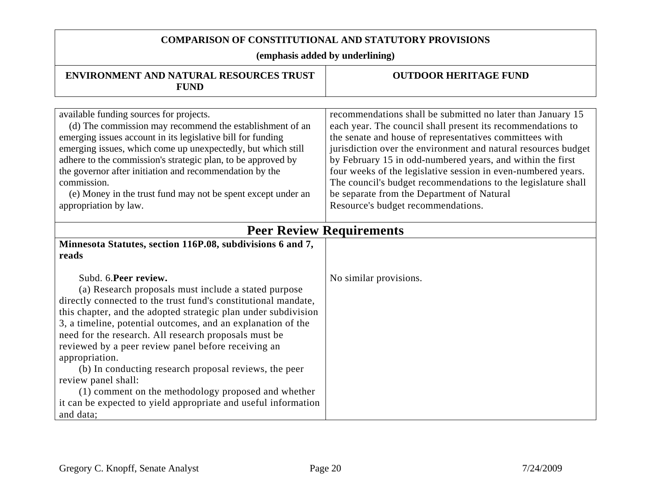| ENVIRONMENT AND NATURAL RESOURCES TRUST<br><b>FUND</b>                                                                                                                                                                                                                                                                                                                                                                                                                                                                                                                                                                                    | <b>OUTDOOR HERITAGE FUND</b>                                                                                                                                                                                                                                                                                                                                                                                                                                                                                                                |  |
|-------------------------------------------------------------------------------------------------------------------------------------------------------------------------------------------------------------------------------------------------------------------------------------------------------------------------------------------------------------------------------------------------------------------------------------------------------------------------------------------------------------------------------------------------------------------------------------------------------------------------------------------|---------------------------------------------------------------------------------------------------------------------------------------------------------------------------------------------------------------------------------------------------------------------------------------------------------------------------------------------------------------------------------------------------------------------------------------------------------------------------------------------------------------------------------------------|--|
|                                                                                                                                                                                                                                                                                                                                                                                                                                                                                                                                                                                                                                           |                                                                                                                                                                                                                                                                                                                                                                                                                                                                                                                                             |  |
| available funding sources for projects.<br>(d) The commission may recommend the establishment of an<br>emerging issues account in its legislative bill for funding<br>emerging issues, which come up unexpectedly, but which still<br>adhere to the commission's strategic plan, to be approved by<br>the governor after initiation and recommendation by the<br>commission.<br>(e) Money in the trust fund may not be spent except under an<br>appropriation by law.                                                                                                                                                                     | recommendations shall be submitted no later than January 15<br>each year. The council shall present its recommendations to<br>the senate and house of representatives committees with<br>jurisdiction over the environment and natural resources budget<br>by February 15 in odd-numbered years, and within the first<br>four weeks of the legislative session in even-numbered years.<br>The council's budget recommendations to the legislature shall<br>be separate from the Department of Natural<br>Resource's budget recommendations. |  |
| <b>Peer Review Requirements</b>                                                                                                                                                                                                                                                                                                                                                                                                                                                                                                                                                                                                           |                                                                                                                                                                                                                                                                                                                                                                                                                                                                                                                                             |  |
| Minnesota Statutes, section 116P.08, subdivisions 6 and 7,<br>reads                                                                                                                                                                                                                                                                                                                                                                                                                                                                                                                                                                       |                                                                                                                                                                                                                                                                                                                                                                                                                                                                                                                                             |  |
| Subd. 6. Peer review.<br>(a) Research proposals must include a stated purpose<br>directly connected to the trust fund's constitutional mandate,<br>this chapter, and the adopted strategic plan under subdivision<br>3, a timeline, potential outcomes, and an explanation of the<br>need for the research. All research proposals must be<br>reviewed by a peer review panel before receiving an<br>appropriation.<br>(b) In conducting research proposal reviews, the peer<br>review panel shall:<br>(1) comment on the methodology proposed and whether<br>it can be expected to yield appropriate and useful information<br>and data; | No similar provisions.                                                                                                                                                                                                                                                                                                                                                                                                                                                                                                                      |  |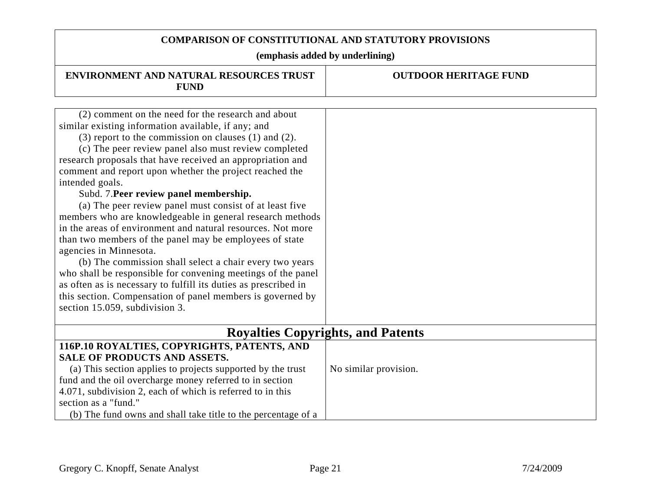| <b>ENVIRONMENT AND NATURAL RESOURCES TRUST</b><br><b>FUND</b>   | <b>OUTDOOR HERITAGE FUND</b> |  |
|-----------------------------------------------------------------|------------------------------|--|
|                                                                 |                              |  |
| (2) comment on the need for the research and about              |                              |  |
| similar existing information available, if any; and             |                              |  |
| $(3)$ report to the commission on clauses $(1)$ and $(2)$ .     |                              |  |
| (c) The peer review panel also must review completed            |                              |  |
| research proposals that have received an appropriation and      |                              |  |
| comment and report upon whether the project reached the         |                              |  |
| intended goals.                                                 |                              |  |
| Subd. 7. Peer review panel membership.                          |                              |  |
| (a) The peer review panel must consist of at least five         |                              |  |
| members who are knowledgeable in general research methods       |                              |  |
| in the areas of environment and natural resources. Not more     |                              |  |
| than two members of the panel may be employees of state         |                              |  |
| agencies in Minnesota.                                          |                              |  |
| (b) The commission shall select a chair every two years         |                              |  |
| who shall be responsible for convening meetings of the panel    |                              |  |
| as often as is necessary to fulfill its duties as prescribed in |                              |  |
| this section. Compensation of panel members is governed by      |                              |  |
| section 15.059, subdivision 3.                                  |                              |  |
|                                                                 |                              |  |
| <b>Royalties Copyrights, and Patents</b>                        |                              |  |
| 116P.10 ROYALTIES, COPYRIGHTS, PATENTS, AND                     |                              |  |
| <b>SALE OF PRODUCTS AND ASSETS.</b>                             |                              |  |
| (a) This section applies to projects supported by the trust     | No similar provision.        |  |
| fund and the oil overcharge money referred to in section        |                              |  |
| 4.071, subdivision 2, each of which is referred to in this      |                              |  |
| section as a "fund."                                            |                              |  |
| (b) The fund owns and shall take title to the percentage of a   |                              |  |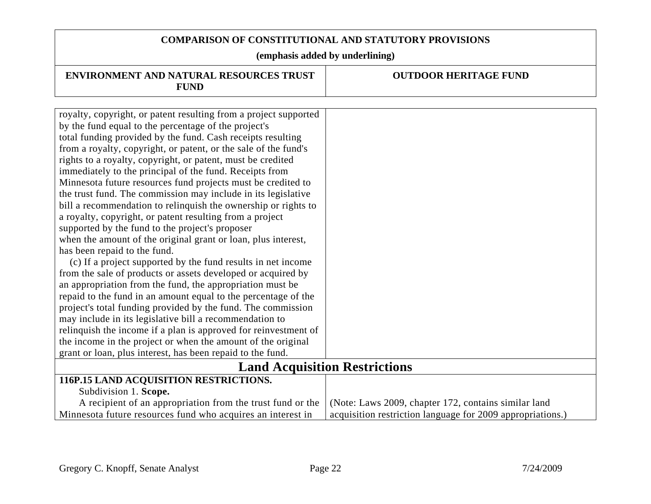# **COMPARISON OF CONSTITUTIONAL AND STATUTORY PROVISIONS (emphasis added by underlining) ENVIRONMENT AND NATURAL RESOURCES TRUST FUND OUTDOOR HERITAGE FUND** royalty, copyright, or patent resulting from a project supported by the fund equal to the percentage of the project's total funding provided by the fund. Cash receipts resulting from a royalty, copyright, or patent, or the sale of the fund's rights to a royalty, copyright, or patent, must be credited immediately to the principal of the fund. Receipts from

Subdivision 1. **Scope.**

Minnesota future resources fund projects must be credited to the trust fund. The commission may include in its legislative bill a recommendation to relinquish the ownership or rights to

when the amount of the original grant or loan, plus interest,

 (c) If a project supported by the fund results in net income from the sale of products or assets developed or acquired by an appropriation from the fund, the appropriation must be repaid to the fund in an amount equal to the percentage of the project's total funding provided by the fund. The commission

relinquish the income if a plan is approved for reinvestment of the income in the project or when the amount of the original grant or loan, plus interest, has been repaid to the fund.

A recipient of an appropriation from the trust fund or the

Minnesota future resources fund who acquires an interest in

a royalty, copyright, or patent resulting from a project

may include in its legislative bill a recommendation to

**116P.15 LAND ACQUISITION RESTRICTIONS.** 

supported by the fund to the project's proposer

has been repaid to the fund.

**Land Acquisition Restrictions** 

(Note: Laws 2009, chapter 172, contains similar land acquisition restriction language for 2009 appropriations.)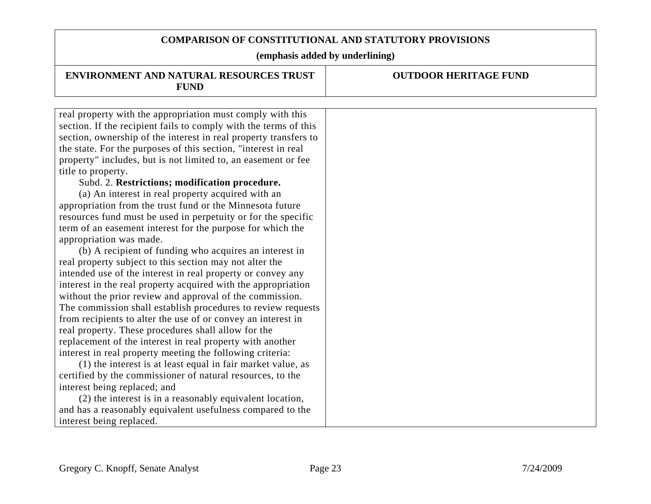| <b>ENVIRONMENT AND NATURAL RESOURCES TRUST</b><br><b>FUND</b>    | <b>OUTDOOR HERITAGE FUND</b> |
|------------------------------------------------------------------|------------------------------|
|                                                                  |                              |
| real property with the appropriation must comply with this       |                              |
| section. If the recipient fails to comply with the terms of this |                              |
| section, ownership of the interest in real property transfers to |                              |
| the state. For the purposes of this section, "interest in real   |                              |
| property" includes, but is not limited to, an easement or fee    |                              |
| title to property.                                               |                              |
| Subd. 2. Restrictions; modification procedure.                   |                              |
| (a) An interest in real property acquired with an                |                              |
| appropriation from the trust fund or the Minnesota future        |                              |
| resources fund must be used in perpetuity or for the specific    |                              |
| term of an easement interest for the purpose for which the       |                              |
| appropriation was made.                                          |                              |
| (b) A recipient of funding who acquires an interest in           |                              |
| real property subject to this section may not alter the          |                              |
| intended use of the interest in real property or convey any      |                              |
| interest in the real property acquired with the appropriation    |                              |
| without the prior review and approval of the commission.         |                              |
| The commission shall establish procedures to review requests     |                              |
| from recipients to alter the use of or convey an interest in     |                              |
| real property. These procedures shall allow for the              |                              |
| replacement of the interest in real property with another        |                              |
| interest in real property meeting the following criteria:        |                              |
| (1) the interest is at least equal in fair market value, as      |                              |
| certified by the commissioner of natural resources, to the       |                              |
| interest being replaced; and                                     |                              |
| (2) the interest is in a reasonably equivalent location,         |                              |
| and has a reasonably equivalent usefulness compared to the       |                              |
| interest being replaced.                                         |                              |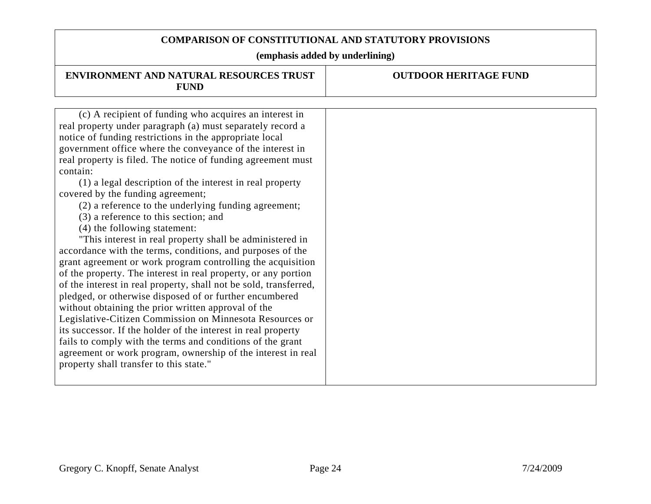| ENVIRONMENT AND NATURAL RESOURCES TRUST<br><b>FUND</b>                                                                                                                                                                                                                                                                                                                                                                                                                                                                                                                                                                                                                                                                                                                                                                                                                                                                                                                                                                                                                                                                                                                                                                                                                                                            | <b>OUTDOOR HERITAGE FUND</b> |
|-------------------------------------------------------------------------------------------------------------------------------------------------------------------------------------------------------------------------------------------------------------------------------------------------------------------------------------------------------------------------------------------------------------------------------------------------------------------------------------------------------------------------------------------------------------------------------------------------------------------------------------------------------------------------------------------------------------------------------------------------------------------------------------------------------------------------------------------------------------------------------------------------------------------------------------------------------------------------------------------------------------------------------------------------------------------------------------------------------------------------------------------------------------------------------------------------------------------------------------------------------------------------------------------------------------------|------------------------------|
|                                                                                                                                                                                                                                                                                                                                                                                                                                                                                                                                                                                                                                                                                                                                                                                                                                                                                                                                                                                                                                                                                                                                                                                                                                                                                                                   |                              |
| (c) A recipient of funding who acquires an interest in<br>real property under paragraph (a) must separately record a<br>notice of funding restrictions in the appropriate local<br>government office where the conveyance of the interest in<br>real property is filed. The notice of funding agreement must<br>contain:<br>(1) a legal description of the interest in real property<br>covered by the funding agreement;<br>(2) a reference to the underlying funding agreement;<br>(3) a reference to this section; and<br>(4) the following statement:<br>"This interest in real property shall be administered in<br>accordance with the terms, conditions, and purposes of the<br>grant agreement or work program controlling the acquisition<br>of the property. The interest in real property, or any portion<br>of the interest in real property, shall not be sold, transferred,<br>pledged, or otherwise disposed of or further encumbered<br>without obtaining the prior written approval of the<br>Legislative-Citizen Commission on Minnesota Resources or<br>its successor. If the holder of the interest in real property<br>fails to comply with the terms and conditions of the grant<br>agreement or work program, ownership of the interest in real<br>property shall transfer to this state." |                              |
|                                                                                                                                                                                                                                                                                                                                                                                                                                                                                                                                                                                                                                                                                                                                                                                                                                                                                                                                                                                                                                                                                                                                                                                                                                                                                                                   |                              |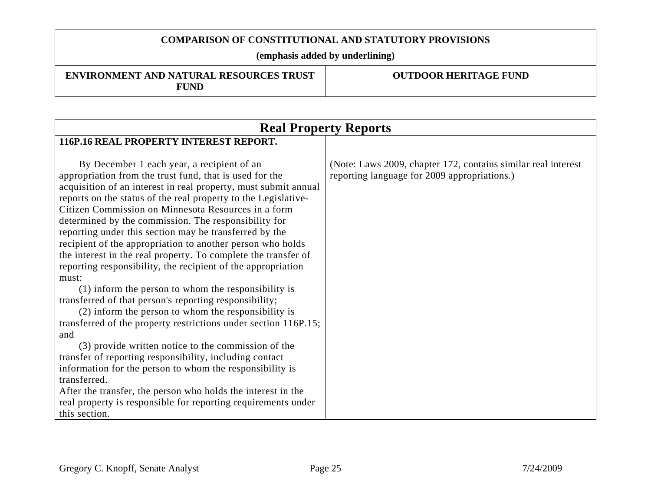**(emphasis added by underlining)** 

#### **ENVIRONMENT AND NATURAL RESOURCES TRUST FUND**

| <b>Real Property Reports</b>                                                                                                                                                                                                                                                                                                                                                                                                                                                                                                                                                                                                                                                                                                                                                                                                                                                                                                                                                                                                                                                                                                                 |                                                                                                                |  |
|----------------------------------------------------------------------------------------------------------------------------------------------------------------------------------------------------------------------------------------------------------------------------------------------------------------------------------------------------------------------------------------------------------------------------------------------------------------------------------------------------------------------------------------------------------------------------------------------------------------------------------------------------------------------------------------------------------------------------------------------------------------------------------------------------------------------------------------------------------------------------------------------------------------------------------------------------------------------------------------------------------------------------------------------------------------------------------------------------------------------------------------------|----------------------------------------------------------------------------------------------------------------|--|
| 116P.16 REAL PROPERTY INTEREST REPORT.                                                                                                                                                                                                                                                                                                                                                                                                                                                                                                                                                                                                                                                                                                                                                                                                                                                                                                                                                                                                                                                                                                       |                                                                                                                |  |
| By December 1 each year, a recipient of an<br>appropriation from the trust fund, that is used for the<br>acquisition of an interest in real property, must submit annual<br>reports on the status of the real property to the Legislative-<br>Citizen Commission on Minnesota Resources in a form<br>determined by the commission. The responsibility for<br>reporting under this section may be transferred by the<br>recipient of the appropriation to another person who holds<br>the interest in the real property. To complete the transfer of<br>reporting responsibility, the recipient of the appropriation<br>must:<br>(1) inform the person to whom the responsibility is<br>transferred of that person's reporting responsibility;<br>(2) inform the person to whom the responsibility is<br>transferred of the property restrictions under section 116P.15;<br>and<br>(3) provide written notice to the commission of the<br>transfer of reporting responsibility, including contact<br>information for the person to whom the responsibility is<br>transferred.<br>After the transfer, the person who holds the interest in the | (Note: Laws 2009, chapter 172, contains similar real interest)<br>reporting language for 2009 appropriations.) |  |
| real property is responsible for reporting requirements under<br>this section.                                                                                                                                                                                                                                                                                                                                                                                                                                                                                                                                                                                                                                                                                                                                                                                                                                                                                                                                                                                                                                                               |                                                                                                                |  |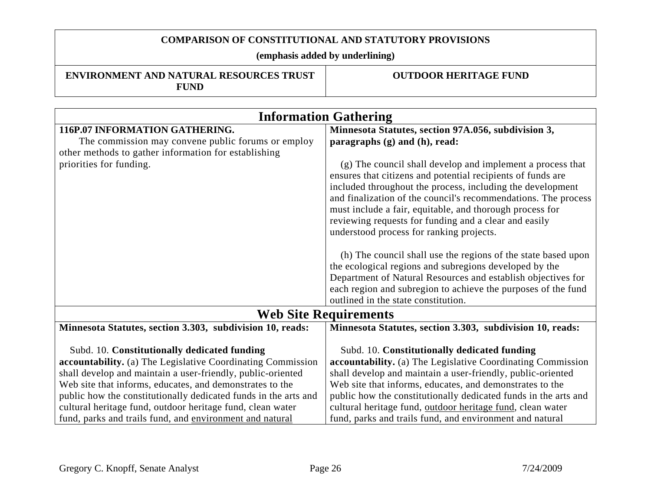**(emphasis added by underlining)** 

| <b>ENVIRONMENT AND NATURAL RESOURCES TRUST</b> |  |  |
|------------------------------------------------|--|--|
| <b>FUND</b>                                    |  |  |

| <b>Information Gathering</b>                                    |                                                                 |  |
|-----------------------------------------------------------------|-----------------------------------------------------------------|--|
| 116P.07 INFORMATION GATHERING.                                  | Minnesota Statutes, section 97A.056, subdivision 3,             |  |
| The commission may convene public forums or employ              | paragraphs $(g)$ and $(h)$ , read:                              |  |
| other methods to gather information for establishing            |                                                                 |  |
| priorities for funding.                                         | (g) The council shall develop and implement a process that      |  |
|                                                                 | ensures that citizens and potential recipients of funds are     |  |
|                                                                 | included throughout the process, including the development      |  |
|                                                                 | and finalization of the council's recommendations. The process  |  |
|                                                                 | must include a fair, equitable, and thorough process for        |  |
|                                                                 | reviewing requests for funding and a clear and easily           |  |
|                                                                 | understood process for ranking projects.                        |  |
|                                                                 |                                                                 |  |
|                                                                 | (h) The council shall use the regions of the state based upon   |  |
|                                                                 | the ecological regions and subregions developed by the          |  |
|                                                                 | Department of Natural Resources and establish objectives for    |  |
|                                                                 | each region and subregion to achieve the purposes of the fund   |  |
|                                                                 | outlined in the state constitution.                             |  |
|                                                                 |                                                                 |  |
| <b>Web Site Requirements</b>                                    |                                                                 |  |
| Minnesota Statutes, section 3.303, subdivision 10, reads:       | Minnesota Statutes, section 3.303, subdivision 10, reads:       |  |
|                                                                 |                                                                 |  |
| Subd. 10. Constitutionally dedicated funding                    | Subd. 10. Constitutionally dedicated funding                    |  |
| accountability. (a) The Legislative Coordinating Commission     | accountability. (a) The Legislative Coordinating Commission     |  |
| shall develop and maintain a user-friendly, public-oriented     | shall develop and maintain a user-friendly, public-oriented     |  |
| Web site that informs, educates, and demonstrates to the        | Web site that informs, educates, and demonstrates to the        |  |
| public how the constitutionally dedicated funds in the arts and | public how the constitutionally dedicated funds in the arts and |  |
| cultural heritage fund, outdoor heritage fund, clean water      | cultural heritage fund, outdoor heritage fund, clean water      |  |
| fund, parks and trails fund, and environment and natural        | fund, parks and trails fund, and environment and natural        |  |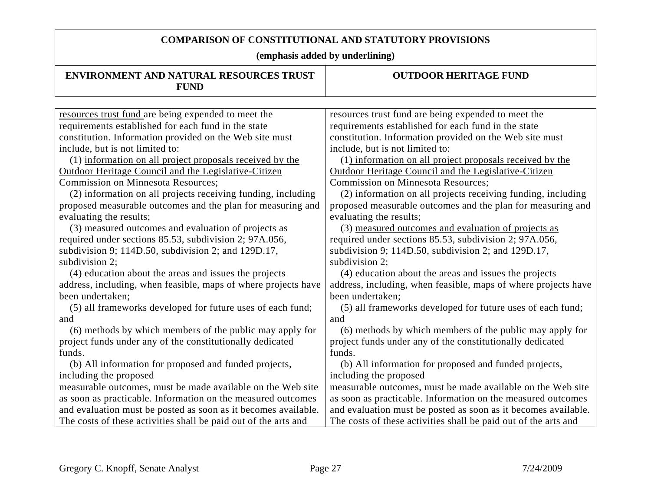| <b>ENVIRONMENT AND NATURAL RESOURCES TRUST</b><br><b>FUND</b>   | <b>OUTDOOR HERITAGE FUND</b>                                    |
|-----------------------------------------------------------------|-----------------------------------------------------------------|
|                                                                 |                                                                 |
| resources trust fund are being expended to meet the             | resources trust fund are being expended to meet the             |
| requirements established for each fund in the state             | requirements established for each fund in the state             |
| constitution. Information provided on the Web site must         | constitution. Information provided on the Web site must         |
| include, but is not limited to:                                 | include, but is not limited to:                                 |
| (1) information on all project proposals received by the        | (1) information on all project proposals received by the        |
| Outdoor Heritage Council and the Legislative-Citizen            | Outdoor Heritage Council and the Legislative-Citizen            |
| <b>Commission on Minnesota Resources;</b>                       | <b>Commission on Minnesota Resources;</b>                       |
| (2) information on all projects receiving funding, including    | (2) information on all projects receiving funding, including    |
| proposed measurable outcomes and the plan for measuring and     | proposed measurable outcomes and the plan for measuring and     |
| evaluating the results;                                         | evaluating the results;                                         |
| (3) measured outcomes and evaluation of projects as             | (3) measured outcomes and evaluation of projects as             |
| required under sections 85.53, subdivision 2; 97A.056,          | required under sections 85.53, subdivision 2; 97A.056,          |
| subdivision 9; 114D.50, subdivision 2; and 129D.17,             | subdivision 9; 114D.50, subdivision 2; and 129D.17,             |
| subdivision 2;                                                  | subdivision 2;                                                  |
| (4) education about the areas and issues the projects           | (4) education about the areas and issues the projects           |
| address, including, when feasible, maps of where projects have  | address, including, when feasible, maps of where projects have  |
| been undertaken;                                                | been undertaken;                                                |
| (5) all frameworks developed for future uses of each fund;      | (5) all frameworks developed for future uses of each fund;      |
| and                                                             | and                                                             |
| (6) methods by which members of the public may apply for        | (6) methods by which members of the public may apply for        |
| project funds under any of the constitutionally dedicated       | project funds under any of the constitutionally dedicated       |
| funds.                                                          | funds.                                                          |
| (b) All information for proposed and funded projects,           | (b) All information for proposed and funded projects,           |
| including the proposed                                          | including the proposed                                          |
| measurable outcomes, must be made available on the Web site     | measurable outcomes, must be made available on the Web site     |
| as soon as practicable. Information on the measured outcomes    | as soon as practicable. Information on the measured outcomes    |
| and evaluation must be posted as soon as it becomes available.  | and evaluation must be posted as soon as it becomes available.  |
| The costs of these activities shall be paid out of the arts and | The costs of these activities shall be paid out of the arts and |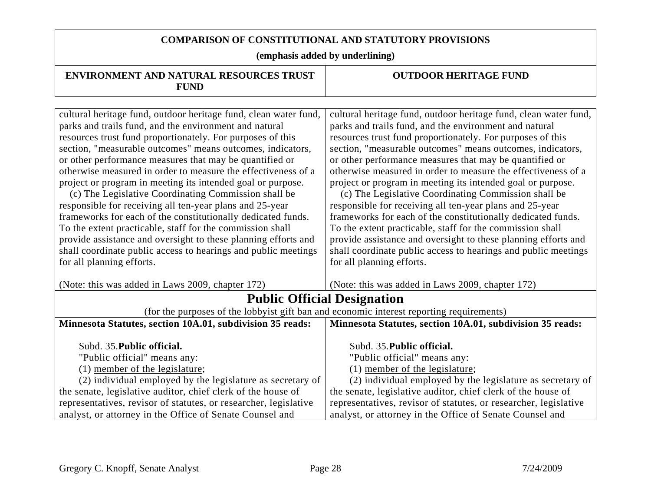| <b>ENVIRONMENT AND NATURAL RESOURCES TRUST</b><br><b>FUND</b>                                                                                                                                                                                                                                                                                                                                                                                                                                                                                                                                                                                                                                                                                                                                                                                                       | <b>OUTDOOR HERITAGE FUND</b>                                                                                                                                                                                                                                                                                                                                                                                                                                                                                                                                                                                                                                                                                                                                                                                                                                        |  |
|---------------------------------------------------------------------------------------------------------------------------------------------------------------------------------------------------------------------------------------------------------------------------------------------------------------------------------------------------------------------------------------------------------------------------------------------------------------------------------------------------------------------------------------------------------------------------------------------------------------------------------------------------------------------------------------------------------------------------------------------------------------------------------------------------------------------------------------------------------------------|---------------------------------------------------------------------------------------------------------------------------------------------------------------------------------------------------------------------------------------------------------------------------------------------------------------------------------------------------------------------------------------------------------------------------------------------------------------------------------------------------------------------------------------------------------------------------------------------------------------------------------------------------------------------------------------------------------------------------------------------------------------------------------------------------------------------------------------------------------------------|--|
|                                                                                                                                                                                                                                                                                                                                                                                                                                                                                                                                                                                                                                                                                                                                                                                                                                                                     |                                                                                                                                                                                                                                                                                                                                                                                                                                                                                                                                                                                                                                                                                                                                                                                                                                                                     |  |
| cultural heritage fund, outdoor heritage fund, clean water fund,<br>parks and trails fund, and the environment and natural<br>resources trust fund proportionately. For purposes of this<br>section, "measurable outcomes" means outcomes, indicators,<br>or other performance measures that may be quantified or<br>otherwise measured in order to measure the effectiveness of a<br>project or program in meeting its intended goal or purpose.<br>(c) The Legislative Coordinating Commission shall be<br>responsible for receiving all ten-year plans and 25-year<br>frameworks for each of the constitutionally dedicated funds.<br>To the extent practicable, staff for the commission shall<br>provide assistance and oversight to these planning efforts and<br>shall coordinate public access to hearings and public meetings<br>for all planning efforts. | cultural heritage fund, outdoor heritage fund, clean water fund,<br>parks and trails fund, and the environment and natural<br>resources trust fund proportionately. For purposes of this<br>section, "measurable outcomes" means outcomes, indicators,<br>or other performance measures that may be quantified or<br>otherwise measured in order to measure the effectiveness of a<br>project or program in meeting its intended goal or purpose.<br>(c) The Legislative Coordinating Commission shall be<br>responsible for receiving all ten-year plans and 25-year<br>frameworks for each of the constitutionally dedicated funds.<br>To the extent practicable, staff for the commission shall<br>provide assistance and oversight to these planning efforts and<br>shall coordinate public access to hearings and public meetings<br>for all planning efforts. |  |
| (Note: this was added in Laws 2009, chapter 172)                                                                                                                                                                                                                                                                                                                                                                                                                                                                                                                                                                                                                                                                                                                                                                                                                    | (Note: this was added in Laws 2009, chapter 172)                                                                                                                                                                                                                                                                                                                                                                                                                                                                                                                                                                                                                                                                                                                                                                                                                    |  |
| <b>Public Official Designation</b>                                                                                                                                                                                                                                                                                                                                                                                                                                                                                                                                                                                                                                                                                                                                                                                                                                  |                                                                                                                                                                                                                                                                                                                                                                                                                                                                                                                                                                                                                                                                                                                                                                                                                                                                     |  |
|                                                                                                                                                                                                                                                                                                                                                                                                                                                                                                                                                                                                                                                                                                                                                                                                                                                                     | (for the purposes of the lobbyist gift ban and economic interest reporting requirements)                                                                                                                                                                                                                                                                                                                                                                                                                                                                                                                                                                                                                                                                                                                                                                            |  |
| Minnesota Statutes, section 10A.01, subdivision 35 reads:                                                                                                                                                                                                                                                                                                                                                                                                                                                                                                                                                                                                                                                                                                                                                                                                           | Minnesota Statutes, section 10A.01, subdivision 35 reads:                                                                                                                                                                                                                                                                                                                                                                                                                                                                                                                                                                                                                                                                                                                                                                                                           |  |
| Subd. 35. Public official.<br>"Public official" means any:<br>(1) member of the legislature;<br>(2) individual employed by the legislature as secretary of<br>the senate, legislative auditor, chief clerk of the house of                                                                                                                                                                                                                                                                                                                                                                                                                                                                                                                                                                                                                                          | Subd. 35. Public official.<br>"Public official" means any:<br>(1) member of the legislature;<br>(2) individual employed by the legislature as secretary of<br>the senate, legislative auditor, chief clerk of the house of                                                                                                                                                                                                                                                                                                                                                                                                                                                                                                                                                                                                                                          |  |
| representatives, revisor of statutes, or researcher, legislative                                                                                                                                                                                                                                                                                                                                                                                                                                                                                                                                                                                                                                                                                                                                                                                                    | representatives, revisor of statutes, or researcher, legislative                                                                                                                                                                                                                                                                                                                                                                                                                                                                                                                                                                                                                                                                                                                                                                                                    |  |
| analyst, or attorney in the Office of Senate Counsel and                                                                                                                                                                                                                                                                                                                                                                                                                                                                                                                                                                                                                                                                                                                                                                                                            | analyst, or attorney in the Office of Senate Counsel and                                                                                                                                                                                                                                                                                                                                                                                                                                                                                                                                                                                                                                                                                                                                                                                                            |  |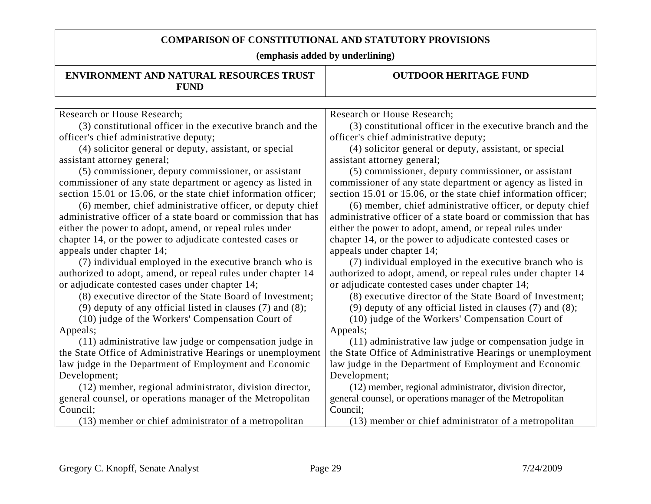| ENVIRONMENT AND NATURAL RESOURCES TRUST<br><b>FUND</b>          | <b>OUTDOOR HERITAGE FUND</b>                                    |
|-----------------------------------------------------------------|-----------------------------------------------------------------|
|                                                                 |                                                                 |
| Research or House Research;                                     | Research or House Research;                                     |
| (3) constitutional officer in the executive branch and the      | (3) constitutional officer in the executive branch and the      |
| officer's chief administrative deputy;                          | officer's chief administrative deputy;                          |
| (4) solicitor general or deputy, assistant, or special          | (4) solicitor general or deputy, assistant, or special          |
| assistant attorney general;                                     | assistant attorney general;                                     |
| (5) commissioner, deputy commissioner, or assistant             | (5) commissioner, deputy commissioner, or assistant             |
| commissioner of any state department or agency as listed in     | commissioner of any state department or agency as listed in     |
| section 15.01 or 15.06, or the state chief information officer; | section 15.01 or 15.06, or the state chief information officer; |
| (6) member, chief administrative officer, or deputy chief       | (6) member, chief administrative officer, or deputy chief       |
| administrative officer of a state board or commission that has  | administrative officer of a state board or commission that has  |
| either the power to adopt, amend, or repeal rules under         | either the power to adopt, amend, or repeal rules under         |
| chapter 14, or the power to adjudicate contested cases or       | chapter 14, or the power to adjudicate contested cases or       |
| appeals under chapter 14;                                       | appeals under chapter 14;                                       |
| (7) individual employed in the executive branch who is          | (7) individual employed in the executive branch who is          |
| authorized to adopt, amend, or repeal rules under chapter 14    | authorized to adopt, amend, or repeal rules under chapter 14    |
| or adjudicate contested cases under chapter 14;                 | or adjudicate contested cases under chapter 14;                 |
| (8) executive director of the State Board of Investment;        | (8) executive director of the State Board of Investment;        |
| (9) deputy of any official listed in clauses $(7)$ and $(8)$ ;  | (9) deputy of any official listed in clauses $(7)$ and $(8)$ ;  |
| (10) judge of the Workers' Compensation Court of                | (10) judge of the Workers' Compensation Court of                |
| Appeals;                                                        | Appeals;                                                        |
| (11) administrative law judge or compensation judge in          | (11) administrative law judge or compensation judge in          |
| the State Office of Administrative Hearings or unemployment     | the State Office of Administrative Hearings or unemployment     |
| law judge in the Department of Employment and Economic          | law judge in the Department of Employment and Economic          |
| Development;                                                    | Development;                                                    |
| (12) member, regional administrator, division director,         | (12) member, regional administrator, division director,         |
| general counsel, or operations manager of the Metropolitan      | general counsel, or operations manager of the Metropolitan      |
| Council;                                                        | Council:                                                        |
| (13) member or chief administrator of a metropolitan            | (13) member or chief administrator of a metropolitan            |